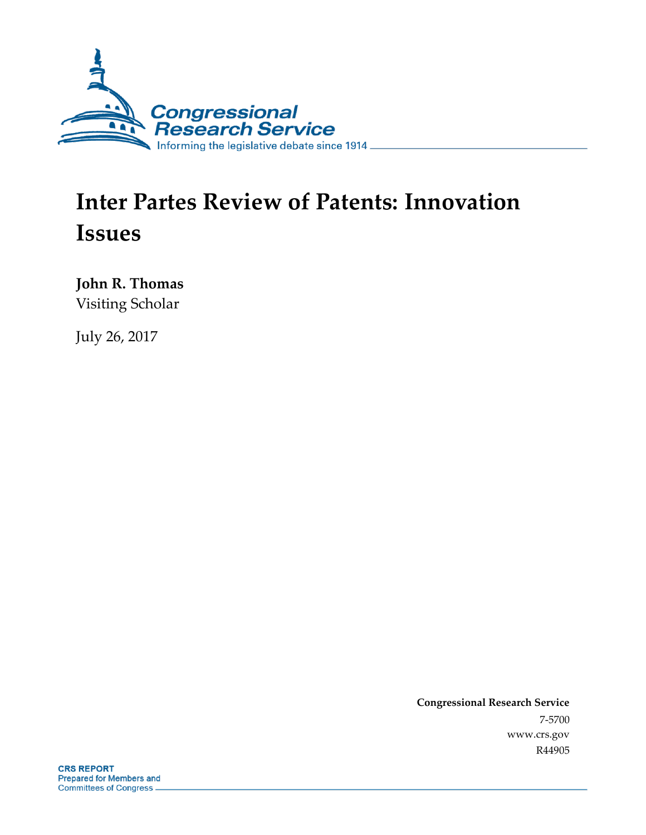

# **Inter Partes Review of Patents: Innovation Issues**

**John R. Thomas** Visiting Scholar

July 26, 2017

**Congressional Research Service** 7-5700 www.crs.gov R44905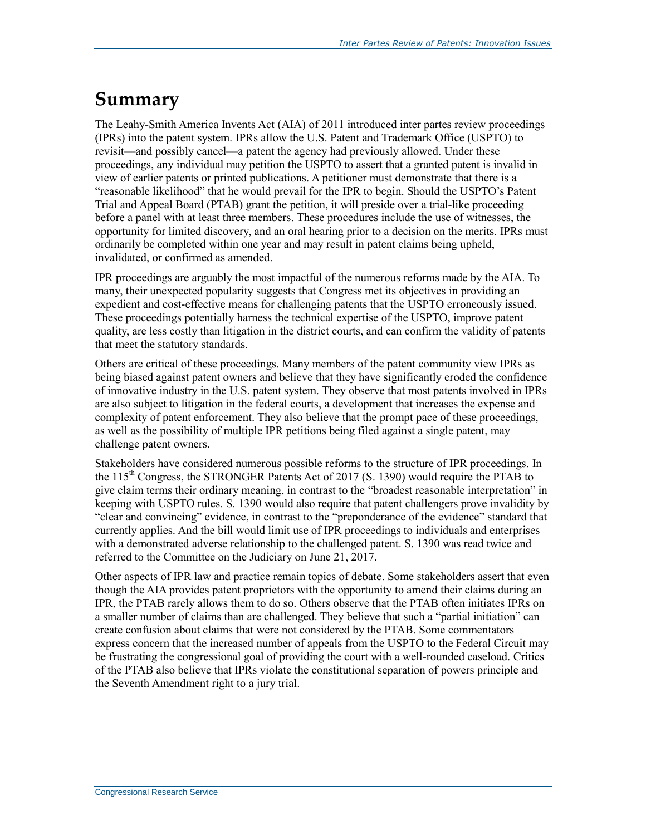## **Summary**

The Leahy-Smith America Invents Act (AIA) of 2011 introduced inter partes review proceedings (IPRs) into the patent system. IPRs allow the U.S. Patent and Trademark Office (USPTO) to revisit—and possibly cancel—a patent the agency had previously allowed. Under these proceedings, any individual may petition the USPTO to assert that a granted patent is invalid in view of earlier patents or printed publications. A petitioner must demonstrate that there is a "reasonable likelihood" that he would prevail for the IPR to begin. Should the USPTO's Patent Trial and Appeal Board (PTAB) grant the petition, it will preside over a trial-like proceeding before a panel with at least three members. These procedures include the use of witnesses, the opportunity for limited discovery, and an oral hearing prior to a decision on the merits. IPRs must ordinarily be completed within one year and may result in patent claims being upheld, invalidated, or confirmed as amended.

IPR proceedings are arguably the most impactful of the numerous reforms made by the AIA. To many, their unexpected popularity suggests that Congress met its objectives in providing an expedient and cost-effective means for challenging patents that the USPTO erroneously issued. These proceedings potentially harness the technical expertise of the USPTO, improve patent quality, are less costly than litigation in the district courts, and can confirm the validity of patents that meet the statutory standards.

Others are critical of these proceedings. Many members of the patent community view IPRs as being biased against patent owners and believe that they have significantly eroded the confidence of innovative industry in the U.S. patent system. They observe that most patents involved in IPRs are also subject to litigation in the federal courts, a development that increases the expense and complexity of patent enforcement. They also believe that the prompt pace of these proceedings, as well as the possibility of multiple IPR petitions being filed against a single patent, may challenge patent owners.

Stakeholders have considered numerous possible reforms to the structure of IPR proceedings. In the 115<sup>th</sup> Congress, the STRONGER Patents Act of 2017 (S. 1390) would require the PTAB to give claim terms their ordinary meaning, in contrast to the "broadest reasonable interpretation" in keeping with USPTO rules. S. 1390 would also require that patent challengers prove invalidity by "clear and convincing" evidence, in contrast to the "preponderance of the evidence" standard that currently applies. And the bill would limit use of IPR proceedings to individuals and enterprises with a demonstrated adverse relationship to the challenged patent. S. 1390 was read twice and referred to the Committee on the Judiciary on June 21, 2017.

Other aspects of IPR law and practice remain topics of debate. Some stakeholders assert that even though the AIA provides patent proprietors with the opportunity to amend their claims during an IPR, the PTAB rarely allows them to do so. Others observe that the PTAB often initiates IPRs on a smaller number of claims than are challenged. They believe that such a "partial initiation" can create confusion about claims that were not considered by the PTAB. Some commentators express concern that the increased number of appeals from the USPTO to the Federal Circuit may be frustrating the congressional goal of providing the court with a well-rounded caseload. Critics of the PTAB also believe that IPRs violate the constitutional separation of powers principle and the Seventh Amendment right to a jury trial.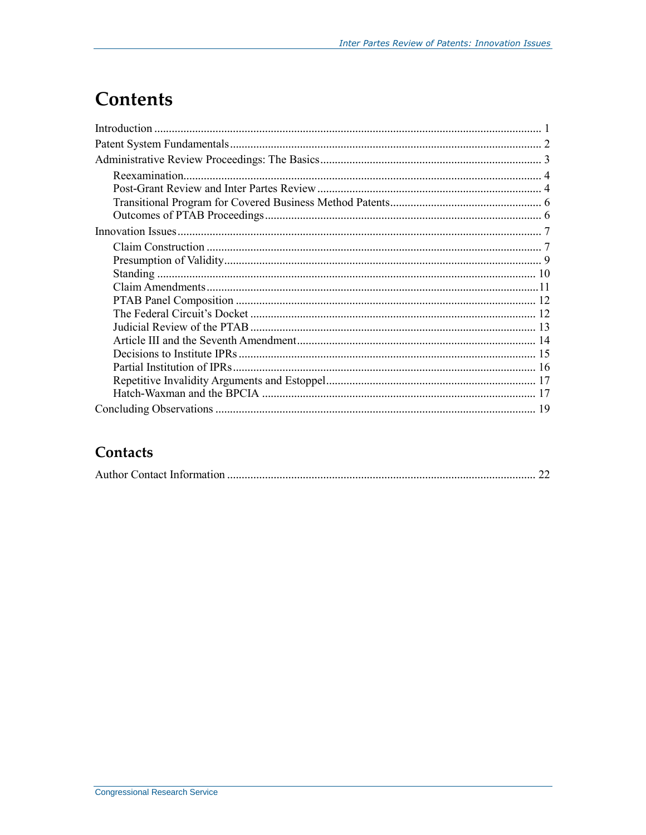# **Contents**

#### Contacts

|--|--|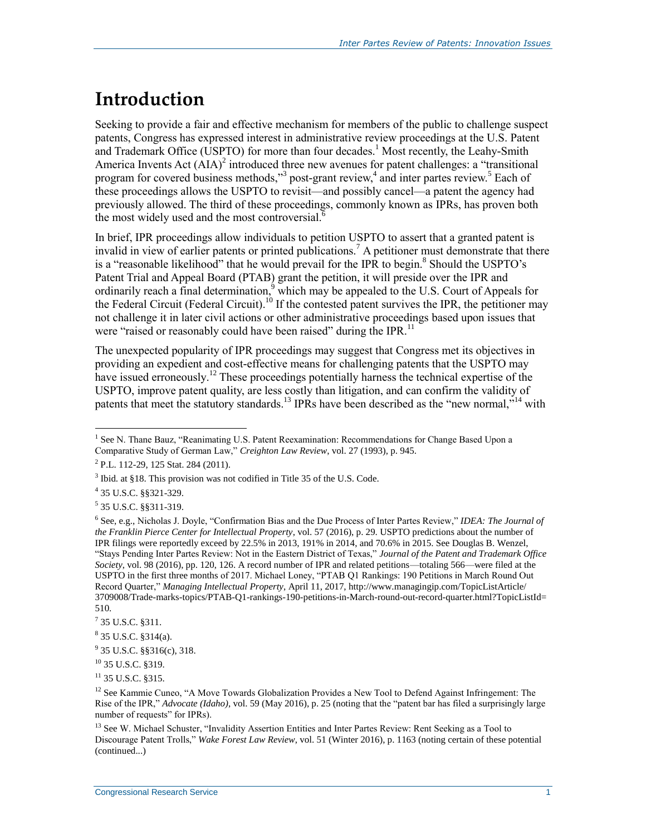# **Introduction**

Seeking to provide a fair and effective mechanism for members of the public to challenge suspect patents, Congress has expressed interest in administrative review proceedings at the U.S. Patent and Trademark Office (USPTO) for more than four decades.<sup>1</sup> Most recently, the Leahy-Smith America Invents Act  $(AIA)^2$  introduced three new avenues for patent challenges: a "transitional" program for covered business methods,"<sup>3</sup> post-grant review,<sup>4</sup> and inter partes review.<sup>5</sup> Each of these proceedings allows the USPTO to revisit—and possibly cancel—a patent the agency had previously allowed. The third of these proceedings, commonly known as IPRs, has proven both the most widely used and the most controversial.<sup>6</sup>

In brief, IPR proceedings allow individuals to petition USPTO to assert that a granted patent is invalid in view of earlier patents or printed publications.<sup>7</sup> A petitioner must demonstrate that there is a "reasonable likelihood" that he would prevail for the IPR to begin.<sup>8</sup> Should the USPTO's Patent Trial and Appeal Board (PTAB) grant the petition, it will preside over the IPR and ordinarily reach a final determination,  $\frac{9}{9}$  which may be appealed to the U.S. Court of Appeals for the Federal Circuit (Federal Circuit).<sup>10</sup> If the contested patent survives the IPR, the petitioner may not challenge it in later civil actions or other administrative proceedings based upon issues that were "raised or reasonably could have been raised" during the IPR.<sup>11</sup>

The unexpected popularity of IPR proceedings may suggest that Congress met its objectives in providing an expedient and cost-effective means for challenging patents that the USPTO may have issued erroneously.<sup>12</sup> These proceedings potentially harness the technical expertise of the USPTO, improve patent quality, are less costly than litigation, and can confirm the validity of patents that meet the statutory standards.<sup>13</sup> IPRs have been described as the "new normal,"<sup>14</sup> with

4 35 U.S.C. §§321-329.

 $\overline{a}$ 

 $^{11}$  35 U.S.C. 8315.

<sup>&</sup>lt;sup>1</sup> See N. Thane Bauz, "Reanimating U.S. Patent Reexamination: Recommendations for Change Based Upon a Comparative Study of German Law," *Creighton Law Review*, vol. 27 (1993), p. 945.

<sup>&</sup>lt;sup>2</sup> P.L. 112-29, 125 Stat. 284 (2011).

<sup>&</sup>lt;sup>3</sup> Ibid. at §18. This provision was not codified in Title 35 of the U.S. Code.

<sup>5</sup> 35 U.S.C. §§311-319.

<sup>6</sup> See, e.g., Nicholas J. Doyle, "Confirmation Bias and the Due Process of Inter Partes Review," *IDEA: The Journal of the Franklin Pierce Center for Intellectual Property*, vol. 57 (2016), p. 29. USPTO predictions about the number of IPR filings were reportedly exceed by 22.5% in 2013, 191% in 2014, and 70.6% in 2015. See Douglas B. Wenzel, "Stays Pending Inter Partes Review: Not in the Eastern District of Texas," *Journal of the Patent and Trademark Office Society*, vol. 98 (2016), pp. 120, 126. A record number of IPR and related petitions—totaling 566—were filed at the USPTO in the first three months of 2017. Michael Loney, "PTAB Q1 Rankings: 190 Petitions in March Round Out Record Quarter," *Managing Intellectual Property*, April 11, 2017, http://www.managingip.com/TopicListArticle/ 3709008/Trade-marks-topics/PTAB-Q1-rankings-190-petitions-in-March-round-out-record-quarter.html?TopicListId= 510.

 $7$  35 U.S.C. §311.

<sup>8</sup> 35 U.S.C. §314(a).

 $9^9$  35 U.S.C. §§316(c), 318.

<sup>10</sup> 35 U.S.C. §319.

<sup>&</sup>lt;sup>12</sup> See Kammie Cuneo, "A Move Towards Globalization Provides a New Tool to Defend Against Infringement: The Rise of the IPR," *Advocate (Idaho)*, vol. 59 (May 2016), p. 25 (noting that the "patent bar has filed a surprisingly large number of requests" for IPRs).

<sup>&</sup>lt;sup>13</sup> See W. Michael Schuster, "Invalidity Assertion Entities and Inter Partes Review: Rent Seeking as a Tool to Discourage Patent Trolls," *Wake Forest Law Review*, vol. 51 (Winter 2016), p. 1163 (noting certain of these potential (continued...)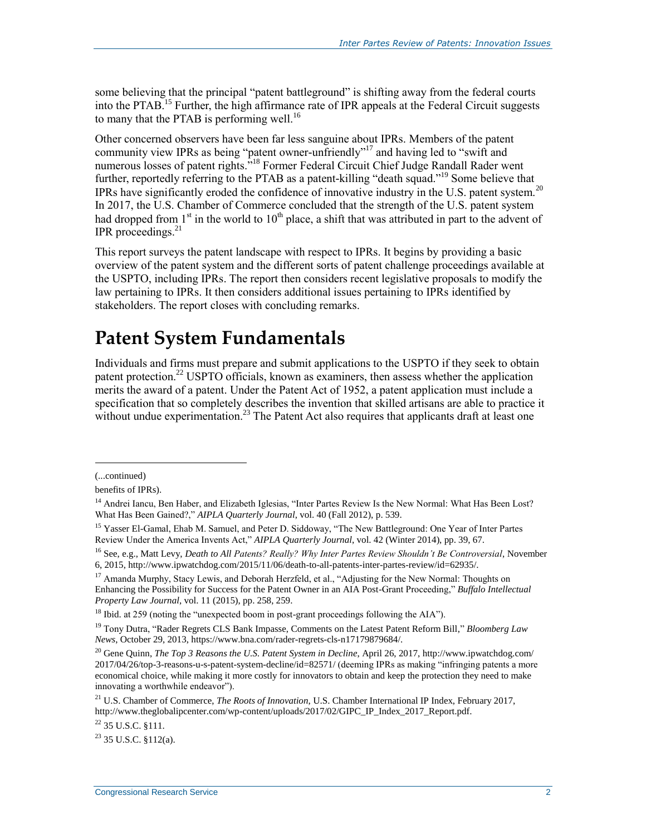some believing that the principal "patent battleground" is shifting away from the federal courts into the PTAB.<sup>15</sup> Further, the high affirmance rate of IPR appeals at the Federal Circuit suggests to many that the PTAB is performing well.<sup>16</sup>

Other concerned observers have been far less sanguine about IPRs. Members of the patent community view IPRs as being "patent owner-unfriendly"<sup>17</sup> and having led to "swift and numerous losses of patent rights."<sup>18</sup> Former Federal Circuit Chief Judge Randall Rader went further, reportedly referring to the PTAB as a patent-killing "death squad."<sup>19</sup> Some believe that IPRs have significantly eroded the confidence of innovative industry in the U.S. patent system.<sup>20</sup> In 2017, the U.S. Chamber of Commerce concluded that the strength of the U.S. patent system had dropped from  $1<sup>st</sup>$  in the world to  $10<sup>th</sup>$  place, a shift that was attributed in part to the advent of IPR proceedings. $^{21}$ 

This report surveys the patent landscape with respect to IPRs. It begins by providing a basic overview of the patent system and the different sorts of patent challenge proceedings available at the USPTO, including IPRs. The report then considers recent legislative proposals to modify the law pertaining to IPRs. It then considers additional issues pertaining to IPRs identified by stakeholders. The report closes with concluding remarks.

### **Patent System Fundamentals**

Individuals and firms must prepare and submit applications to the USPTO if they seek to obtain patent protection.<sup>22</sup> USPTO officials, known as examiners, then assess whether the application merits the award of a patent. Under the Patent Act of 1952, a patent application must include a specification that so completely describes the invention that skilled artisans are able to practice it without undue experimentation.<sup>23</sup> The Patent Act also requires that applicants draft at least one

<sup>(...</sup>continued)

benefits of IPRs).

<sup>&</sup>lt;sup>14</sup> Andrei Iancu, Ben Haber, and Elizabeth Iglesias, "Inter Partes Review Is the New Normal: What Has Been Lost? What Has Been Gained?," *AIPLA Quarterly Journal*, vol. 40 (Fall 2012), p. 539.

<sup>&</sup>lt;sup>15</sup> Yasser El-Gamal, Ehab M. Samuel, and Peter D. Siddoway, "The New Battleground: One Year of Inter Partes Review Under the America Invents Act," *AIPLA Quarterly Journal*, vol. 42 (Winter 2014), pp. 39, 67.

<sup>16</sup> See, e.g., Matt Levy, *Death to All Patents? Really? Why Inter Partes Review Shouldn't Be Controversial*, November 6, 2015, http://www.ipwatchdog.com/2015/11/06/death-to-all-patents-inter-partes-review/id=62935/.

<sup>&</sup>lt;sup>17</sup> Amanda Murphy, Stacy Lewis, and Deborah Herzfeld, et al., "Adjusting for the New Normal: Thoughts on Enhancing the Possibility for Success for the Patent Owner in an AIA Post-Grant Proceeding," *Buffalo Intellectual Property Law Journal*, vol. 11 (2015), pp. 258, 259.

<sup>&</sup>lt;sup>18</sup> Ibid. at 259 (noting the "unexpected boom in post-grant proceedings following the AIA").

<sup>19</sup> Tony Dutra, "Rader Regrets CLS Bank Impasse, Comments on the Latest Patent Reform Bill," *Bloomberg Law News*, October 29, 2013, https://www.bna.com/rader-regrets-cls-n17179879684/.

<sup>&</sup>lt;sup>20</sup> Gene Quinn, *The Top 3 Reasons the U.S. Patent System in Decline*, April 26, 2017, http://www.ipwatchdog.com/ 2017/04/26/top-3-reasons-u-s-patent-system-decline/id=82571/ (deeming IPRs as making "infringing patents a more economical choice, while making it more costly for innovators to obtain and keep the protection they need to make innovating a worthwhile endeavor").

<sup>21</sup> U.S. Chamber of Commerce, *The Roots of Innovation*, U.S. Chamber International IP Index, February 2017, http://www.theglobalipcenter.com/wp-content/uploads/2017/02/GIPC\_IP\_Index\_2017\_Report.pdf.

<sup>22</sup> 35 U.S.C. §111.

 $^{23}$  35 U.S.C.  $$112(a)$ .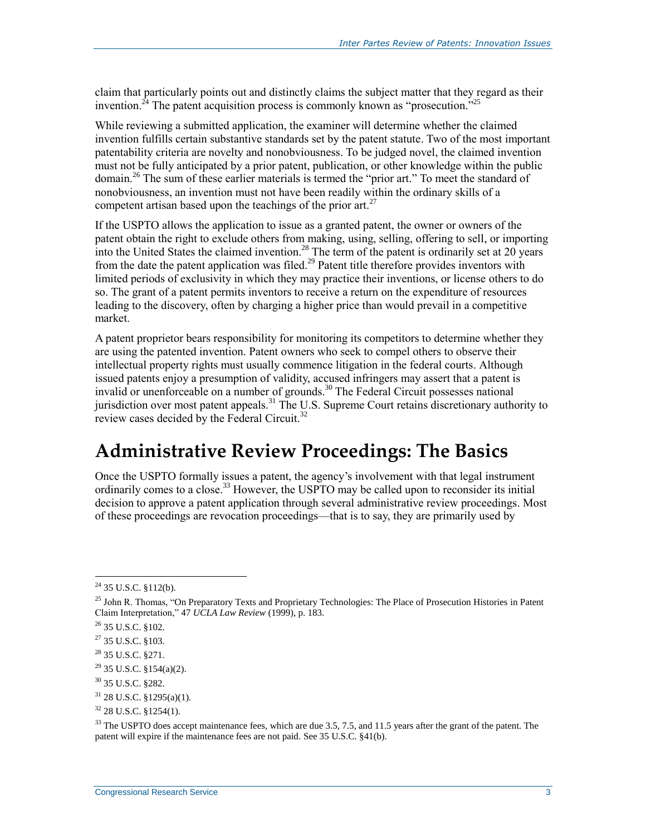claim that particularly points out and distinctly claims the subject matter that they regard as their invention.<sup>24</sup> The patent acquisition process is commonly known as "prosecution.<sup>5,25</sup>

While reviewing a submitted application, the examiner will determine whether the claimed invention fulfills certain substantive standards set by the patent statute. Two of the most important patentability criteria are novelty and nonobviousness. To be judged novel, the claimed invention must not be fully anticipated by a prior patent, publication, or other knowledge within the public domain.<sup>26</sup> The sum of these earlier materials is termed the "prior art." To meet the standard of nonobviousness, an invention must not have been readily within the ordinary skills of a competent artisan based upon the teachings of the prior art.<sup>27</sup>

If the USPTO allows the application to issue as a granted patent, the owner or owners of the patent obtain the right to exclude others from making, using, selling, offering to sell, or importing into the United States the claimed invention.<sup>28</sup> The term of the patent is ordinarily set at 20 years from the date the patent application was filed.<sup>29</sup> Patent title therefore provides inventors with limited periods of exclusivity in which they may practice their inventions, or license others to do so. The grant of a patent permits inventors to receive a return on the expenditure of resources leading to the discovery, often by charging a higher price than would prevail in a competitive market.

A patent proprietor bears responsibility for monitoring its competitors to determine whether they are using the patented invention. Patent owners who seek to compel others to observe their intellectual property rights must usually commence litigation in the federal courts. Although issued patents enjoy a presumption of validity, accused infringers may assert that a patent is invalid or unenforceable on a number of grounds.<sup>30</sup> The Federal Circuit possesses national jurisdiction over most patent appeals.<sup>31</sup> The U.S. Supreme Court retains discretionary authority to review cases decided by the Federal Circuit.<sup>32</sup>

### **Administrative Review Proceedings: The Basics**

Once the USPTO formally issues a patent, the agency's involvement with that legal instrument ordinarily comes to a close.<sup>33</sup> However, the USPTO may be called upon to reconsider its initial decision to approve a patent application through several administrative review proceedings. Most of these proceedings are revocation proceedings—that is to say, they are primarily used by

 $24$  35 U.S.C. §112(b).

<sup>&</sup>lt;sup>25</sup> John R. Thomas, "On Preparatory Texts and Proprietary Technologies: The Place of Prosecution Histories in Patent Claim Interpretation," 47 *UCLA Law Review* (1999), p. 183.

<sup>26</sup> 35 U.S.C. §102.

 $27$  35 U.S.C. §103.

<sup>&</sup>lt;sup>28</sup> 35 U.S.C. §271.

 $29$  35 U.S.C. §154(a)(2).

<sup>30</sup> 35 U.S.C. §282.

 $31$  28 U.S.C. §1295(a)(1).

 $32$  28 U.S.C. §1254(1).

<sup>&</sup>lt;sup>33</sup> The USPTO does accept maintenance fees, which are due 3.5, 7.5, and 11.5 years after the grant of the patent. The patent will expire if the maintenance fees are not paid. See 35 U.S.C. §41(b).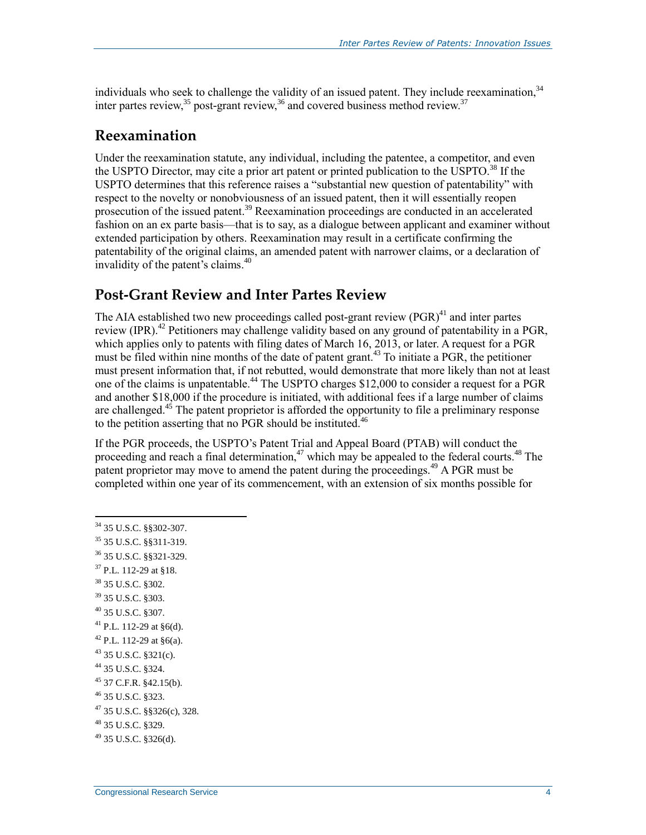individuals who seek to challenge the validity of an issued patent. They include reexamination,<sup>34</sup> inter partes review,  $35$  post-grant review,  $36$  and covered business method review.  $37$ 

#### **Reexamination**

Under the reexamination statute, any individual, including the patentee, a competitor, and even the USPTO Director, may cite a prior art patent or printed publication to the USPTO.<sup>38</sup> If the USPTO determines that this reference raises a "substantial new question of patentability" with respect to the novelty or nonobviousness of an issued patent, then it will essentially reopen prosecution of the issued patent.<sup>39</sup> Reexamination proceedings are conducted in an accelerated fashion on an ex parte basis—that is to say, as a dialogue between applicant and examiner without extended participation by others. Reexamination may result in a certificate confirming the patentability of the original claims, an amended patent with narrower claims, or a declaration of invalidity of the patent's claims.<sup>40</sup>

#### **Post-Grant Review and Inter Partes Review**

The AIA established two new proceedings called post-grant review  $(PGR)^{41}$  and inter partes review (IPR).<sup>42</sup> Petitioners may challenge validity based on any ground of patentability in a PGR, which applies only to patents with filing dates of March 16, 2013, or later. A request for a PGR must be filed within nine months of the date of patent grant.<sup>43</sup> To initiate a PGR, the petitioner must present information that, if not rebutted, would demonstrate that more likely than not at least one of the claims is unpatentable.<sup>44</sup> The USPTO charges \$12,000 to consider a request for a PGR and another \$18,000 if the procedure is initiated, with additional fees if a large number of claims are challenged. $45$  The patent proprietor is afforded the opportunity to file a preliminary response to the petition asserting that no PGR should be instituted.<sup>46</sup>

If the PGR proceeds, the USPTO's Patent Trial and Appeal Board (PTAB) will conduct the proceeding and reach a final determination, $47$  which may be appealed to the federal courts.<sup>48</sup> The patent proprietor may move to amend the patent during the proceedings.<sup> $49$ </sup> A PGR must be completed within one year of its commencement, with an extension of six months possible for

- <sup>37</sup> P.L. 112-29 at §18.
- <sup>38</sup> 35 U.S.C. §302.
- <sup>39</sup> 35 U.S.C. §303.
- <sup>40</sup> 35 U.S.C. §307.
- <sup>41</sup> P.L. 112-29 at §6(d).
- $42$  P.L. 112-29 at  $\delta$ 6(a).
- <sup>43</sup> 35 U.S.C. §321(c).
- <sup>44</sup> 35 U.S.C. §324.
- $45$  37 C.F.R. §42.15(b).
- <sup>46</sup> 35 U.S.C. §323.
- <sup>47</sup> 35 U.S.C. §§326(c), 328.

 $49$  35 U.S.C. §326(d).

 $\overline{a}$ <sup>34</sup> 35 U.S.C. §§302-307.

<sup>35</sup> 35 U.S.C. §§311-319.

<sup>36</sup> 35 U.S.C. §§321-329.

<sup>48</sup> 35 U.S.C. §329.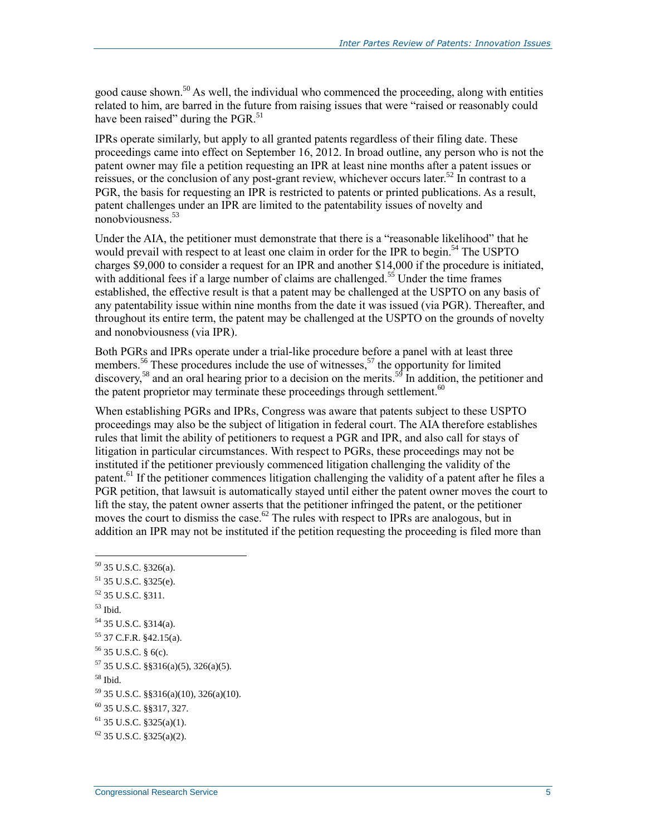good cause shown.<sup>50</sup> As well, the individual who commenced the proceeding, along with entities related to him, are barred in the future from raising issues that were "raised or reasonably could have been raised" during the PGR.<sup>51</sup>

IPRs operate similarly, but apply to all granted patents regardless of their filing date. These proceedings came into effect on September 16, 2012. In broad outline, any person who is not the patent owner may file a petition requesting an IPR at least nine months after a patent issues or reissues, or the conclusion of any post-grant review, whichever occurs later.<sup>52</sup> In contrast to a PGR, the basis for requesting an IPR is restricted to patents or printed publications. As a result, patent challenges under an IPR are limited to the patentability issues of novelty and nonobviousness.<sup>53</sup>

Under the AIA, the petitioner must demonstrate that there is a "reasonable likelihood" that he would prevail with respect to at least one claim in order for the IPR to begin.<sup>54</sup> The USPTO charges \$9,000 to consider a request for an IPR and another \$14,000 if the procedure is initiated, with additional fees if a large number of claims are challenged.<sup>55</sup> Under the time frames established, the effective result is that a patent may be challenged at the USPTO on any basis of any patentability issue within nine months from the date it was issued (via PGR). Thereafter, and throughout its entire term, the patent may be challenged at the USPTO on the grounds of novelty and nonobviousness (via IPR).

Both PGRs and IPRs operate under a trial-like procedure before a panel with at least three members.<sup>56</sup> These procedures include the use of witnesses,<sup>57</sup> the opportunity for limited discovery,<sup>58</sup> and an oral hearing prior to a decision on the merits.<sup>59</sup> In addition, the petitioner and the patent proprietor may terminate these proceedings through settlement.<sup>60</sup>

When establishing PGRs and IPRs, Congress was aware that patents subject to these USPTO proceedings may also be the subject of litigation in federal court. The AIA therefore establishes rules that limit the ability of petitioners to request a PGR and IPR, and also call for stays of litigation in particular circumstances. With respect to PGRs, these proceedings may not be instituted if the petitioner previously commenced litigation challenging the validity of the patent.<sup>61</sup> If the petitioner commences litigation challenging the validity of a patent after he files a PGR petition, that lawsuit is automatically stayed until either the patent owner moves the court to lift the stay, the patent owner asserts that the petitioner infringed the patent, or the petitioner moves the court to dismiss the case.<sup>62</sup> The rules with respect to IPRs are analogous, but in addition an IPR may not be instituted if the petition requesting the proceeding is filed more than

 35 U.S.C. §326(a). 35 U.S.C. §325(e). 35 U.S.C. §311. <sup>53</sup> Ibid. 35 U.S.C. §314(a). 37 C.F.R. §42.15(a). 35 U.S.C. § 6(c). 35 U.S.C. §§316(a)(5), 326(a)(5). <sup>58</sup> Ibid. 35 U.S.C. §§316(a)(10), 326(a)(10). 35 U.S.C. §§317, 327. 35 U.S.C. §325(a)(1). 35 U.S.C.  $$325(a)(2)$ .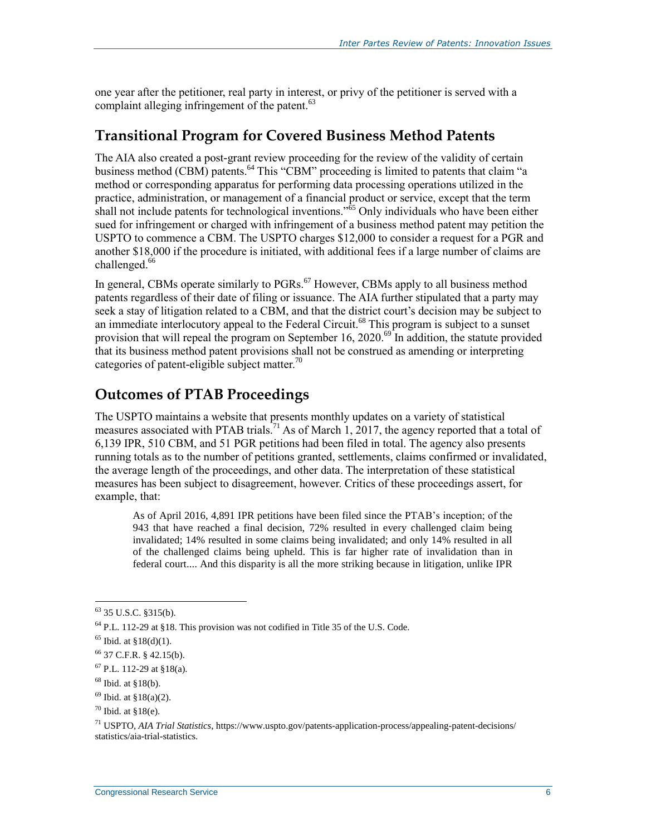one year after the petitioner, real party in interest, or privy of the petitioner is served with a complaint alleging infringement of the patent.<sup>63</sup>

#### **Transitional Program for Covered Business Method Patents**

The AIA also created a post-grant review proceeding for the review of the validity of certain business method (CBM) patents.<sup>64</sup> This "CBM" proceeding is limited to patents that claim "a method or corresponding apparatus for performing data processing operations utilized in the practice, administration, or management of a financial product or service, except that the term shall not include patents for technological inventions."<sup>65</sup> Only individuals who have been either sued for infringement or charged with infringement of a business method patent may petition the USPTO to commence a CBM. The USPTO charges \$12,000 to consider a request for a PGR and another \$18,000 if the procedure is initiated, with additional fees if a large number of claims are challenged.<sup>66</sup>

In general, CBMs operate similarly to PGRs.<sup>67</sup> However, CBMs apply to all business method patents regardless of their date of filing or issuance. The AIA further stipulated that a party may seek a stay of litigation related to a CBM, and that the district court's decision may be subject to an immediate interlocutory appeal to the Federal Circuit.<sup>68</sup> This program is subject to a sunset provision that will repeal the program on September 16, 2020.<sup>69</sup> In addition, the statute provided that its business method patent provisions shall not be construed as amending or interpreting categories of patent-eligible subject matter.<sup>70</sup>

#### **Outcomes of PTAB Proceedings**

The USPTO maintains a website that presents monthly updates on a variety of statistical measures associated with PTAB trials.<sup>71</sup> As of March 1, 2017, the agency reported that a total of 6,139 IPR, 510 CBM, and 51 PGR petitions had been filed in total. The agency also presents running totals as to the number of petitions granted, settlements, claims confirmed or invalidated, the average length of the proceedings, and other data. The interpretation of these statistical measures has been subject to disagreement, however. Critics of these proceedings assert, for example, that:

As of April 2016, 4,891 IPR petitions have been filed since the PTAB's inception; of the 943 that have reached a final decision, 72% resulted in every challenged claim being invalidated; 14% resulted in some claims being invalidated; and only 14% resulted in all of the challenged claims being upheld. This is far higher rate of invalidation than in federal court.... And this disparity is all the more striking because in litigation, unlike IPR

<sup>63</sup> 35 U.S.C. §315(b).

<sup>64</sup> P.L. 112-29 at §18. This provision was not codified in Title 35 of the U.S. Code.

 $65$  Ibid. at  $$18(d)(1)$ .

<sup>66</sup> 37 C.F.R. § 42.15(b).

 $^{67}$  P.L. 112-29 at §18(a).

 $68$  Ibid. at  $$18(b)$ .

 $69$  Ibid. at  $$18(a)(2)$ .

 $70$  Ibid. at  $$18(e)$ .

<sup>71</sup> USPTO, *AIA Trial Statistics*, https://www.uspto.gov/patents-application-process/appealing-patent-decisions/ statistics/aia-trial-statistics.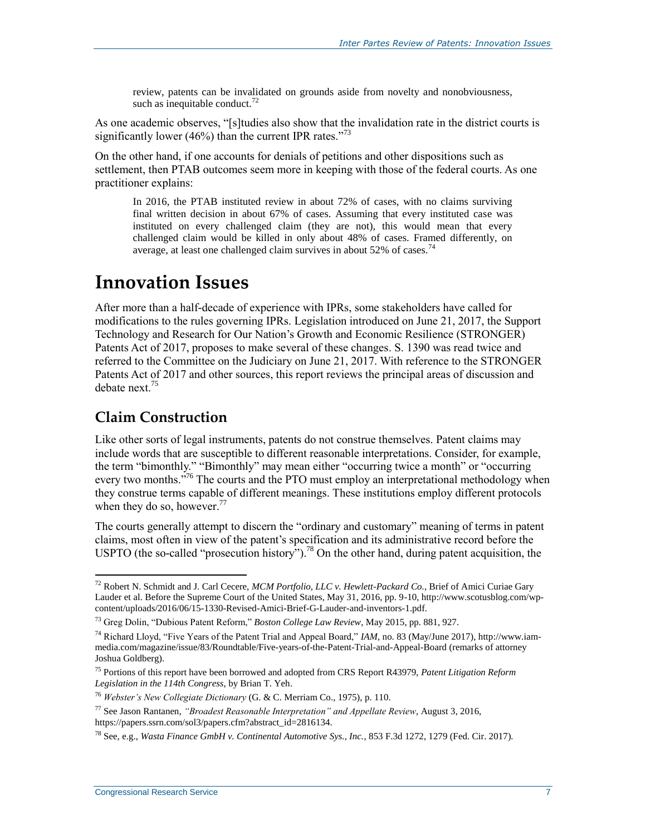review, patents can be invalidated on grounds aside from novelty and nonobviousness, such as inequitable conduct. $^{72}$ 

As one academic observes, "[s]tudies also show that the invalidation rate in the district courts is significantly lower (46%) than the current IPR rates. $^{773}$ 

On the other hand, if one accounts for denials of petitions and other dispositions such as settlement, then PTAB outcomes seem more in keeping with those of the federal courts. As one practitioner explains:

In 2016, the PTAB instituted review in about 72% of cases, with no claims surviving final written decision in about 67% of cases. Assuming that every instituted case was instituted on every challenged claim (they are not), this would mean that every challenged claim would be killed in only about 48% of cases. Framed differently, on average, at least one challenged claim survives in about 52% of cases.<sup>74</sup>

### **Innovation Issues**

After more than a half-decade of experience with IPRs, some stakeholders have called for modifications to the rules governing IPRs. Legislation introduced on June 21, 2017, the Support Technology and Research for Our Nation's Growth and Economic Resilience (STRONGER) Patents Act of 2017, proposes to make several of these changes. S. 1390 was read twice and referred to the Committee on the Judiciary on June 21, 2017. With reference to the STRONGER Patents Act of 2017 and other sources, this report reviews the principal areas of discussion and debate next<sup>75</sup>

#### **Claim Construction**

 $\overline{a}$ 

Like other sorts of legal instruments, patents do not construe themselves. Patent claims may include words that are susceptible to different reasonable interpretations. Consider, for example, the term "bimonthly." "Bimonthly" may mean either "occurring twice a month" or "occurring every two months.<sup>576</sup> The courts and the PTO must employ an interpretational methodology when they construe terms capable of different meanings. These institutions employ different protocols when they do so, however.<sup>77</sup>

The courts generally attempt to discern the "ordinary and customary" meaning of terms in patent claims, most often in view of the patent's specification and its administrative record before the USPTO (the so-called "prosecution history").<sup>78</sup> On the other hand, during patent acquisition, the

<sup>72</sup> Robert N. Schmidt and J. Carl Cecere, *MCM Portfolio, LLC v. Hewlett-Packard Co.*, Brief of Amici Curiae Gary Lauder et al. Before the Supreme Court of the United States, May 31, 2016, pp. 9-10, http://www.scotusblog.com/wpcontent/uploads/2016/06/15-1330-Revised-Amici-Brief-G-Lauder-and-inventors-1.pdf.

<sup>73</sup> Greg Dolin, "Dubious Patent Reform," *Boston College Law Review*, May 2015, pp. 881, 927.

<sup>74</sup> Richard Lloyd, "Five Years of the Patent Trial and Appeal Board," *IAM*, no. 83 (May/June 2017), http://www.iammedia.com/magazine/issue/83/Roundtable/Five-years-of-the-Patent-Trial-and-Appeal-Board (remarks of attorney Joshua Goldberg).

<sup>75</sup> Portions of this report have been borrowed and adopted from CRS Report R43979, *Patent Litigation Reform Legislation in the 114th Congress*, by Brian T. Yeh.

<sup>76</sup> *Webster's New Collegiate Dictionary* (G. & C. Merriam Co., 1975), p. 110.

<sup>77</sup> See Jason Rantanen, *"Broadest Reasonable Interpretation" and Appellate Review*, August 3, 2016, https://papers.ssrn.com/sol3/papers.cfm?abstract\_id=2816134.

<sup>78</sup> See, e.g., *Wasta Finance GmbH v. Continental Automotive Sys., Inc.*, 853 F.3d 1272, 1279 (Fed. Cir. 2017).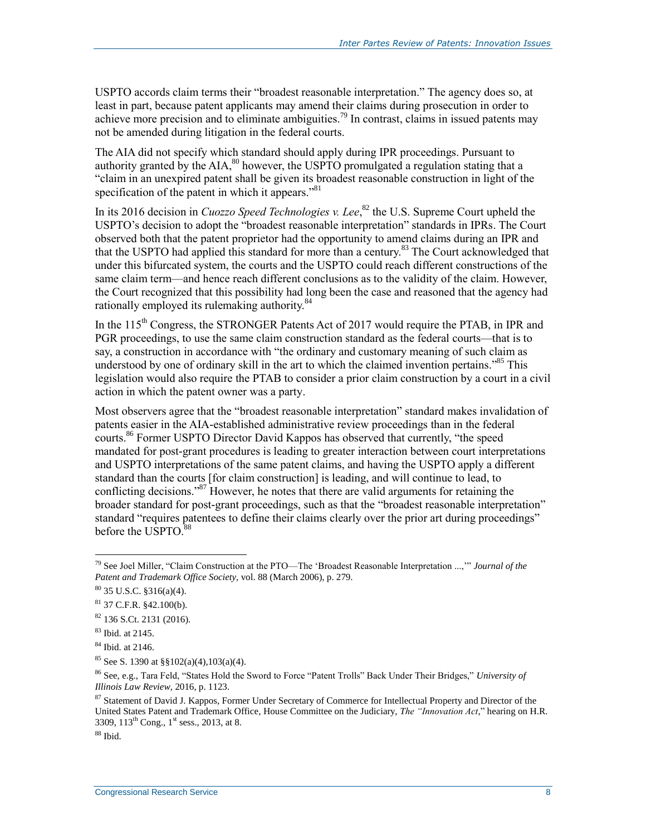USPTO accords claim terms their "broadest reasonable interpretation." The agency does so, at least in part, because patent applicants may amend their claims during prosecution in order to achieve more precision and to eliminate ambiguities.<sup>79</sup> In contrast, claims in issued patents may not be amended during litigation in the federal courts.

The AIA did not specify which standard should apply during IPR proceedings. Pursuant to authority granted by the  $AIA$ ,<sup>80</sup> however, the USPTO promulgated a regulation stating that a "claim in an unexpired patent shall be given its broadest reasonable construction in light of the specification of the patent in which it appears."<sup>81</sup>

In its 2016 decision in *Cuozzo Speed Technologies v. Lee*, <sup>82</sup> the U.S. Supreme Court upheld the USPTO's decision to adopt the "broadest reasonable interpretation" standards in IPRs. The Court observed both that the patent proprietor had the opportunity to amend claims during an IPR and that the USPTO had applied this standard for more than a century.<sup>83</sup> The Court acknowledged that under this bifurcated system, the courts and the USPTO could reach different constructions of the same claim term—and hence reach different conclusions as to the validity of the claim. However, the Court recognized that this possibility had long been the case and reasoned that the agency had rationally employed its rulemaking authority.<sup>84</sup>

In the  $115<sup>th</sup>$  Congress, the STRONGER Patents Act of 2017 would require the PTAB, in IPR and PGR proceedings, to use the same claim construction standard as the federal courts—that is to say, a construction in accordance with "the ordinary and customary meaning of such claim as understood by one of ordinary skill in the art to which the claimed invention pertains.<sup>85</sup> This legislation would also require the PTAB to consider a prior claim construction by a court in a civil action in which the patent owner was a party.

Most observers agree that the "broadest reasonable interpretation" standard makes invalidation of patents easier in the AIA-established administrative review proceedings than in the federal courts.<sup>86</sup> Former USPTO Director David Kappos has observed that currently, "the speed mandated for post-grant procedures is leading to greater interaction between court interpretations and USPTO interpretations of the same patent claims, and having the USPTO apply a different standard than the courts [for claim construction] is leading, and will continue to lead, to conflicting decisions."<sup>87</sup> However, he notes that there are valid arguments for retaining the broader standard for post-grant proceedings, such as that the "broadest reasonable interpretation" standard "requires patentees to define their claims clearly over the prior art during proceedings" before the USPTO.<sup>88</sup>

<sup>79</sup> See Joel Miller, "Claim Construction at the PTO—The 'Broadest Reasonable Interpretation ...,'" *Journal of the Patent and Trademark Office Society*, vol. 88 (March 2006), p. 279.

 $80$  35 U.S.C.  $$316(a)(4)$ .

 $81$  37 C.F.R.  $§42.100(b)$ .

<sup>82</sup> 136 S.Ct. 2131 (2016).

<sup>83</sup> Ibid. at 2145.

<sup>84</sup> Ibid. at 2146.

<sup>85</sup> See S. 1390 at §§102(a)(4),103(a)(4).

<sup>86</sup> See, e.g., Tara Feld, "States Hold the Sword to Force "Patent Trolls" Back Under Their Bridges," *University of Illinois Law Review*, 2016, p. 1123.

<sup>&</sup>lt;sup>87</sup> Statement of David J. Kappos, Former Under Secretary of Commerce for Intellectual Property and Director of the United States Patent and Trademark Office, House Committee on the Judiciary, *The "Innovation Act*," hearing on H.R. 3309, 113<sup>th</sup> Cong., 1<sup>st</sup> sess., 2013, at 8.

 $88$  Ibid.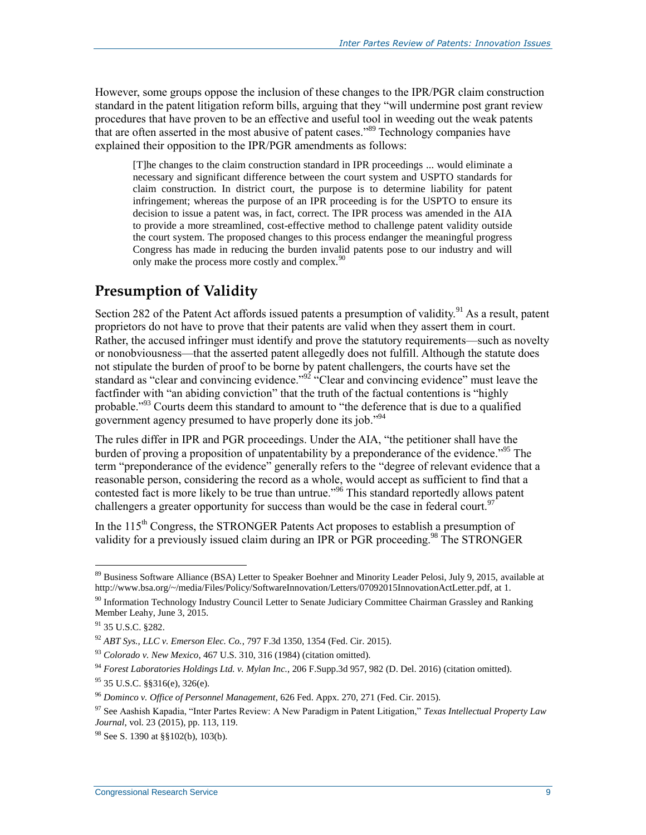However, some groups oppose the inclusion of these changes to the IPR/PGR claim construction standard in the patent litigation reform bills, arguing that they "will undermine post grant review procedures that have proven to be an effective and useful tool in weeding out the weak patents that are often asserted in the most abusive of patent cases.<sup>889</sup> Technology companies have explained their opposition to the IPR/PGR amendments as follows:

[T]he changes to the claim construction standard in IPR proceedings ... would eliminate a necessary and significant difference between the court system and USPTO standards for claim construction. In district court, the purpose is to determine liability for patent infringement; whereas the purpose of an IPR proceeding is for the USPTO to ensure its decision to issue a patent was, in fact, correct. The IPR process was amended in the AIA to provide a more streamlined, cost-effective method to challenge patent validity outside the court system. The proposed changes to this process endanger the meaningful progress Congress has made in reducing the burden invalid patents pose to our industry and will only make the process more costly and complex.<sup>90</sup>

#### **Presumption of Validity**

Section 282 of the Patent Act affords issued patents a presumption of validity.<sup>91</sup> As a result, patent proprietors do not have to prove that their patents are valid when they assert them in court. Rather, the accused infringer must identify and prove the statutory requirements—such as novelty or nonobviousness—that the asserted patent allegedly does not fulfill. Although the statute does not stipulate the burden of proof to be borne by patent challengers, the courts have set the standard as "clear and convincing evidence."<sup>92</sup> "Clear and convincing evidence" must leave the factfinder with "an abiding conviction" that the truth of the factual contentions is "highly probable."<sup>93</sup> Courts deem this standard to amount to "the deference that is due to a qualified government agency presumed to have properly done its job."<sup>94</sup>

The rules differ in IPR and PGR proceedings. Under the AIA, "the petitioner shall have the burden of proving a proposition of unpatentability by a preponderance of the evidence.<sup>"95</sup> The term "preponderance of the evidence" generally refers to the "degree of relevant evidence that a reasonable person, considering the record as a whole, would accept as sufficient to find that a contested fact is more likely to be true than untrue."<sup>96</sup> This standard reportedly allows patent challengers a greater opportunity for success than would be the case in federal court.<sup>9</sup>

In the  $115<sup>th</sup>$  Congress, the STRONGER Patents Act proposes to establish a presumption of validity for a previously issued claim during an IPR or PGR proceeding.<sup>98</sup> The STRONGER

<sup>89</sup> Business Software Alliance (BSA) Letter to Speaker Boehner and Minority Leader Pelosi, July 9, 2015, available at http://www.bsa.org/~/media/Files/Policy/SoftwareInnovation/Letters/07092015InnovationActLetter.pdf, at 1.

<sup>&</sup>lt;sup>90</sup> Information Technology Industry Council Letter to Senate Judiciary Committee Chairman Grassley and Ranking Member Leahy, June 3, 2015.

<sup>91</sup> 35 U.S.C. §282.

<sup>92</sup> *ABT Sys., LLC v. Emerson Elec. Co.*, 797 F.3d 1350, 1354 (Fed. Cir. 2015).

<sup>93</sup> *Colorado v. New Mexico*, 467 U.S. 310, 316 (1984) (citation omitted).

<sup>94</sup> *Forest Laboratories Holdings Ltd. v. Mylan Inc.*, 206 F.Supp.3d 957, 982 (D. Del. 2016) (citation omitted).

 $95$  35 U.S.C. §§316(e), 326(e).

<sup>96</sup> *Dominco v. Office of Personnel Management*, 626 Fed. Appx. 270, 271 (Fed. Cir. 2015).

<sup>97</sup> See Aashish Kapadia, "Inter Partes Review: A New Paradigm in Patent Litigation," *Texas Intellectual Property Law Journal*, vol. 23 (2015), pp. 113, 119.

 $98$  See S, 1390 at  $\frac{8}{102(b)}$ , 103(b).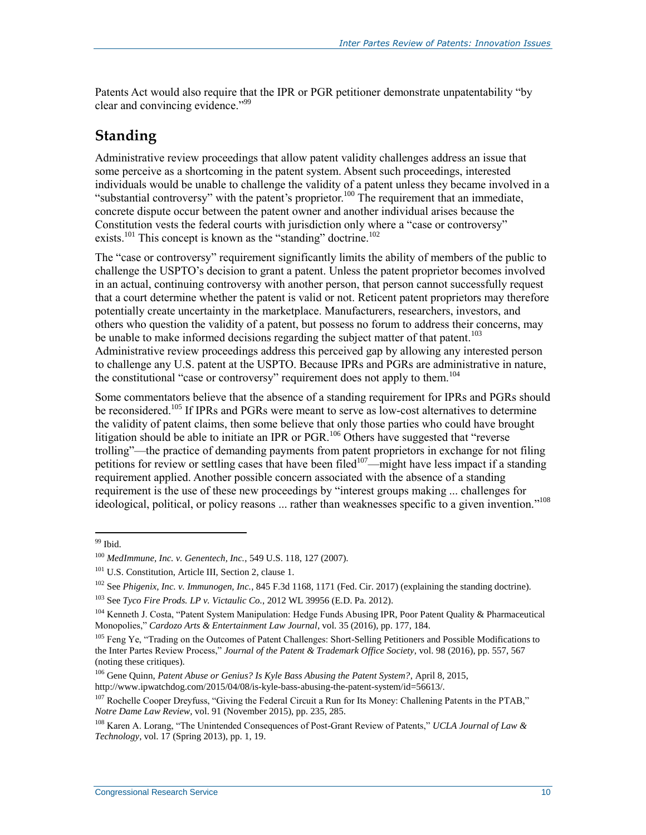Patents Act would also require that the IPR or PGR petitioner demonstrate unpatentability "by clear and convincing evidence."<sup>99</sup>

#### **Standing**

Administrative review proceedings that allow patent validity challenges address an issue that some perceive as a shortcoming in the patent system. Absent such proceedings, interested individuals would be unable to challenge the validity of a patent unless they became involved in a "substantial controversy" with the patent's proprietor.<sup>100</sup> The requirement that an immediate, concrete dispute occur between the patent owner and another individual arises because the Constitution vests the federal courts with jurisdiction only where a "case or controversy" exists.<sup>101</sup> This concept is known as the "standing" doctrine.<sup>102</sup>

The "case or controversy" requirement significantly limits the ability of members of the public to challenge the USPTO's decision to grant a patent. Unless the patent proprietor becomes involved in an actual, continuing controversy with another person, that person cannot successfully request that a court determine whether the patent is valid or not. Reticent patent proprietors may therefore potentially create uncertainty in the marketplace. Manufacturers, researchers, investors, and others who question the validity of a patent, but possess no forum to address their concerns, may be unable to make informed decisions regarding the subject matter of that patent.<sup>103</sup> Administrative review proceedings address this perceived gap by allowing any interested person to challenge any U.S. patent at the USPTO. Because IPRs and PGRs are administrative in nature, the constitutional "case or controversy" requirement does not apply to them.<sup>104</sup>

Some commentators believe that the absence of a standing requirement for IPRs and PGRs should be reconsidered.<sup>105</sup> If IPRs and PGRs were meant to serve as low-cost alternatives to determine the validity of patent claims, then some believe that only those parties who could have brought litigation should be able to initiate an IPR or PGR.<sup>106</sup> Others have suggested that "reverse" trolling"—the practice of demanding payments from patent proprietors in exchange for not filing petitions for review or settling cases that have been filed<sup>107</sup>—might have less impact if a standing requirement applied. Another possible concern associated with the absence of a standing requirement is the use of these new proceedings by "interest groups making ... challenges for ideological, political, or policy reasons ... rather than weaknesses specific to a given invention." 108

<sup>&</sup>lt;sup>99</sup> Ibid.

<sup>100</sup> *MedImmune, Inc. v. Genentech, Inc.*, 549 U.S. 118, 127 (2007).

<sup>&</sup>lt;sup>101</sup> U.S. Constitution, Article III, Section 2, clause 1.

<sup>102</sup> See *Phigenix, Inc. v. Immunogen, Inc.*, 845 F.3d 1168, 1171 (Fed. Cir. 2017) (explaining the standing doctrine).

<sup>103</sup> See *Tyco Fire Prods. LP v. Victaulic Co.*, 2012 WL 39956 (E.D. Pa. 2012).

<sup>104</sup> Kenneth J. Costa, "Patent System Manipulation: Hedge Funds Abusing IPR, Poor Patent Quality & Pharmaceutical Monopolies," *Cardozo Arts & Entertainment Law Journal*, vol. 35 (2016), pp. 177, 184.

<sup>&</sup>lt;sup>105</sup> Feng Ye, "Trading on the Outcomes of Patent Challenges: Short-Selling Petitioners and Possible Modifications to the Inter Partes Review Process," *Journal of the Patent & Trademark Office Society*, vol. 98 (2016), pp. 557, 567 (noting these critiques).

<sup>106</sup> Gene Quinn, *Patent Abuse or Genius? Is Kyle Bass Abusing the Patent System?*, April 8, 2015, http://www.ipwatchdog.com/2015/04/08/is-kyle-bass-abusing-the-patent-system/id=56613/.

<sup>&</sup>lt;sup>107</sup> Rochelle Cooper Dreyfuss, "Giving the Federal Circuit a Run for Its Money: Challening Patents in the PTAB," *Notre Dame Law Review*, vol. 91 (November 2015), pp. 235, 285.

<sup>108</sup> Karen A. Lorang, "The Unintended Consequences of Post-Grant Review of Patents," *UCLA Journal of Law & Technology*, vol. 17 (Spring 2013), pp. 1, 19.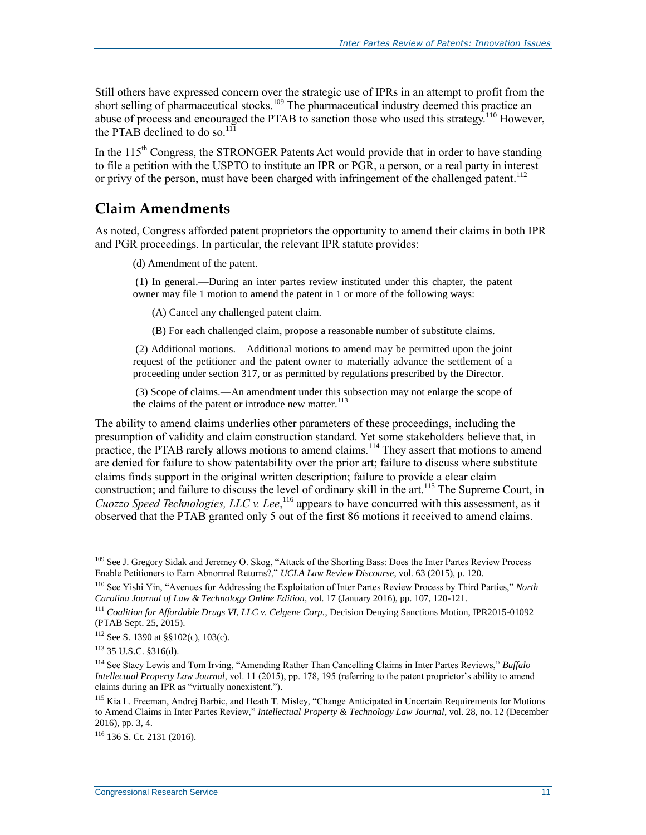Still others have expressed concern over the strategic use of IPRs in an attempt to profit from the short selling of pharmaceutical stocks.<sup>109</sup> The pharmaceutical industry deemed this practice an abuse of process and encouraged the PTAB to sanction those who used this strategy.<sup>110</sup> However, the PTAB declined to do so. $^{111}$ 

In the  $115<sup>th</sup>$  Congress, the STRONGER Patents Act would provide that in order to have standing to file a petition with the USPTO to institute an IPR or PGR, a person, or a real party in interest or privy of the person, must have been charged with infringement of the challenged patent.<sup>112</sup>

#### **Claim Amendments**

As noted, Congress afforded patent proprietors the opportunity to amend their claims in both IPR and PGR proceedings. In particular, the relevant IPR statute provides:

(d) Amendment of the patent.—

(1) In general.—During an inter partes review instituted under this chapter, the patent owner may file 1 motion to amend the patent in 1 or more of the following ways:

(A) Cancel any challenged patent claim.

(B) For each challenged claim, propose a reasonable number of substitute claims.

(2) Additional motions.—Additional motions to amend may be permitted upon the joint request of the petitioner and the patent owner to materially advance the settlement of a proceeding under section 317, or as permitted by regulations prescribed by the Director.

(3) Scope of claims.—An amendment under this subsection may not enlarge the scope of the claims of the patent or introduce new matter. $^{113}$ 

The ability to amend claims underlies other parameters of these proceedings, including the presumption of validity and claim construction standard. Yet some stakeholders believe that, in practice, the PTAB rarely allows motions to amend claims.<sup>114</sup> They assert that motions to amend are denied for failure to show patentability over the prior art; failure to discuss where substitute claims finds support in the original written description; failure to provide a clear claim construction; and failure to discuss the level of ordinary skill in the art.<sup>115</sup> The Supreme Court, in *Cuozzo Speed Technologies, LLC v. Lee*, <sup>116</sup> appears to have concurred with this assessment, as it observed that the PTAB granted only 5 out of the first 86 motions it received to amend claims.

<sup>&</sup>lt;sup>109</sup> See J. Gregory Sidak and Jeremey O. Skog, "Attack of the Shorting Bass: Does the Inter Partes Review Process Enable Petitioners to Earn Abnormal Returns?," *UCLA Law Review Discourse*, vol. 63 (2015), p. 120.

<sup>110</sup> See Yishi Yin, "Avenues for Addressing the Exploitation of Inter Partes Review Process by Third Parties," *North Carolina Journal of Law & Technology Online Edition*, vol. 17 (January 2016), pp. 107, 120-121.

<sup>111</sup> *Coalition for Affordable Drugs VI, LLC v. Celgene Corp.*, Decision Denying Sanctions Motion, IPR2015-01092 (PTAB Sept. 25, 2015).

 $112$  See S. 1390 at §§102(c), 103(c).

<sup>113</sup> 35 U.S.C. §316(d).

<sup>114</sup> See Stacy Lewis and Tom Irving, "Amending Rather Than Cancelling Claims in Inter Partes Reviews," *Buffalo Intellectual Property Law Journal*, vol. 11 (2015), pp. 178, 195 (referring to the patent proprietor's ability to amend claims during an IPR as "virtually nonexistent.").

<sup>&</sup>lt;sup>115</sup> Kia L. Freeman, Andrej Barbic, and Heath T. Misley, "Change Anticipated in Uncertain Requirements for Motions to Amend Claims in Inter Partes Review," *Intellectual Property & Technology Law Journal*, vol. 28, no. 12 (December 2016), pp. 3, 4.

<sup>116</sup> 136 S. Ct. 2131 (2016).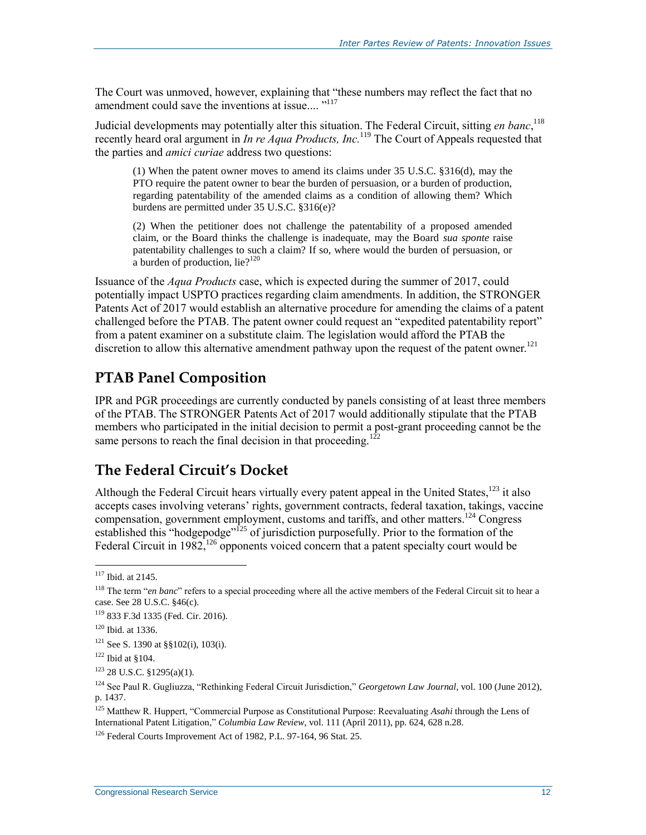The Court was unmoved, however, explaining that "these numbers may reflect the fact that no amendment could save the inventions at issue.... "<sup>117</sup>

Judicial developments may potentially alter this situation. The Federal Circuit, sitting *en banc*, 118 recently heard oral argument in *In re Aqua Products, Inc.*<sup>119</sup> The Court of Appeals requested that the parties and *amici curiae* address two questions:

(1) When the patent owner moves to amend its claims under 35 U.S.C. §316(d), may the PTO require the patent owner to bear the burden of persuasion, or a burden of production, regarding patentability of the amended claims as a condition of allowing them? Which burdens are permitted under 35 U.S.C. §316(e)?

(2) When the petitioner does not challenge the patentability of a proposed amended claim, or the Board thinks the challenge is inadequate, may the Board *sua sponte* raise patentability challenges to such a claim? If so, where would the burden of persuasion, or a burden of production, lie $?^{120}$ 

Issuance of the *Aqua Products* case, which is expected during the summer of 2017, could potentially impact USPTO practices regarding claim amendments. In addition, the STRONGER Patents Act of 2017 would establish an alternative procedure for amending the claims of a patent challenged before the PTAB. The patent owner could request an "expedited patentability report" from a patent examiner on a substitute claim. The legislation would afford the PTAB the discretion to allow this alternative amendment pathway upon the request of the patent owner.<sup>121</sup>

#### **PTAB Panel Composition**

IPR and PGR proceedings are currently conducted by panels consisting of at least three members of the PTAB. The STRONGER Patents Act of 2017 would additionally stipulate that the PTAB members who participated in the initial decision to permit a post-grant proceeding cannot be the same persons to reach the final decision in that proceeding.<sup>12</sup>

#### **The Federal Circuit's Docket**

Although the Federal Circuit hears virtually every patent appeal in the United States,<sup>123</sup> it also accepts cases involving veterans' rights, government contracts, federal taxation, takings, vaccine compensation, government employment, customs and tariffs, and other matters. <sup>124</sup> Congress established this "hodgepodge"<sup>125</sup> of jurisdiction purposefully. Prior to the formation of the Federal Circuit in 1982,<sup>126</sup> opponents voiced concern that a patent specialty court would be

 $117$  Ibid. at 2145.

<sup>&</sup>lt;sup>118</sup> The term "*en banc*" refers to a special proceeding where all the active members of the Federal Circuit sit to hear a case. See 28 U.S.C. §46(c).

<sup>119</sup> 833 F.3d 1335 (Fed. Cir. 2016).

<sup>120</sup> Ibid. at 1336.

 $121$  See S. 1390 at §§102(i), 103(i).

 $122$  Ibid at §104.

 $123$  28 U.S.C. §1295(a)(1).

<sup>124</sup> See Paul R. Gugliuzza, "Rethinking Federal Circuit Jurisdiction," *Georgetown Law Journal*, vol. 100 (June 2012), p. 1437.

<sup>125</sup> Matthew R. Huppert, "Commercial Purpose as Constitutional Purpose: Reevaluating *Asahi* through the Lens of International Patent Litigation," *Columbia Law Review*, vol. 111 (April 2011), pp. 624, 628 n.28.

<sup>126</sup> Federal Courts Improvement Act of 1982, P.L. 97-164, 96 Stat. 25.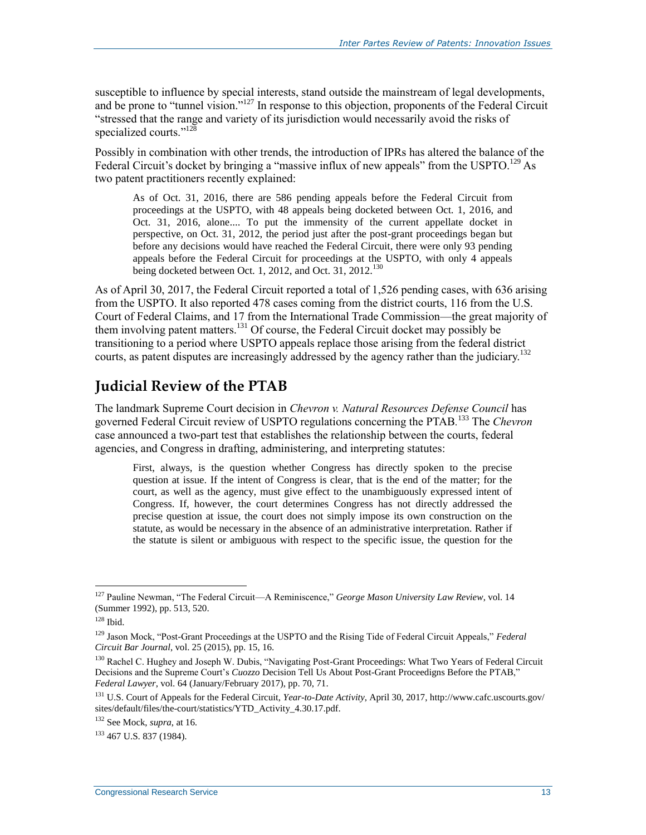susceptible to influence by special interests, stand outside the mainstream of legal developments, and be prone to "tunnel vision."<sup>127</sup> In response to this objection, proponents of the Federal Circuit "stressed that the range and variety of its jurisdiction would necessarily avoid the risks of specialized courts."<sup>128</sup>

Possibly in combination with other trends, the introduction of IPRs has altered the balance of the Federal Circuit's docket by bringing a "massive influx of new appeals" from the USPTO.<sup>129</sup> As two patent practitioners recently explained:

As of Oct. 31, 2016, there are 586 pending appeals before the Federal Circuit from proceedings at the USPTO, with 48 appeals being docketed between Oct. 1, 2016, and Oct. 31, 2016, alone.... To put the immensity of the current appellate docket in perspective, on Oct. 31, 2012, the period just after the post-grant proceedings began but before any decisions would have reached the Federal Circuit, there were only 93 pending appeals before the Federal Circuit for proceedings at the USPTO, with only 4 appeals being docketed between Oct. 1, 2012, and Oct. 31, 2012.<sup>130</sup>

As of April 30, 2017, the Federal Circuit reported a total of 1,526 pending cases, with 636 arising from the USPTO. It also reported 478 cases coming from the district courts, 116 from the U.S. Court of Federal Claims, and 17 from the International Trade Commission—the great majority of them involving patent matters.<sup>131</sup> Of course, the Federal Circuit docket may possibly be transitioning to a period where USPTO appeals replace those arising from the federal district courts, as patent disputes are increasingly addressed by the agency rather than the judiciary.<sup>132</sup>

#### **Judicial Review of the PTAB**

The landmark Supreme Court decision in *Chevron v. Natural Resources Defense Council* has governed Federal Circuit review of USPTO regulations concerning the PTAB*.* <sup>133</sup> The *Chevron*  case announced a two-part test that establishes the relationship between the courts, federal agencies, and Congress in drafting, administering, and interpreting statutes:

First, always, is the question whether Congress has directly spoken to the precise question at issue. If the intent of Congress is clear, that is the end of the matter; for the court, as well as the agency, must give effect to the unambiguously expressed intent of Congress. If, however, the court determines Congress has not directly addressed the precise question at issue, the court does not simply impose its own construction on the statute, as would be necessary in the absence of an administrative interpretation. Rather if the statute is silent or ambiguous with respect to the specific issue, the question for the

<sup>127</sup> Pauline Newman, "The Federal Circuit—A Reminiscence," *George Mason University Law Review*, vol. 14 (Summer 1992), pp. 513, 520.

 $128$  Ibid.

<sup>129</sup> Jason Mock, "Post-Grant Proceedings at the USPTO and the Rising Tide of Federal Circuit Appeals," *Federal Circuit Bar Journal*, vol. 25 (2015), pp. 15, 16.

<sup>&</sup>lt;sup>130</sup> Rachel C. Hughey and Joseph W. Dubis, "Navigating Post-Grant Proceedings: What Two Years of Federal Circuit Decisions and the Supreme Court's *Cuozzo* Decision Tell Us About Post-Grant Proceedigns Before the PTAB," *Federal Lawyer*, vol. 64 (January/February 2017), pp. 70, 71.

<sup>131</sup> U.S. Court of Appeals for the Federal Circuit, *Year-to-Date Activity*, April 30, 2017, http://www.cafc.uscourts.gov/ sites/default/files/the-court/statistics/YTD\_Activity\_4.30.17.pdf.

<sup>132</sup> See Mock, *supra*, at 16.

<sup>133</sup> 467 U.S. 837 (1984).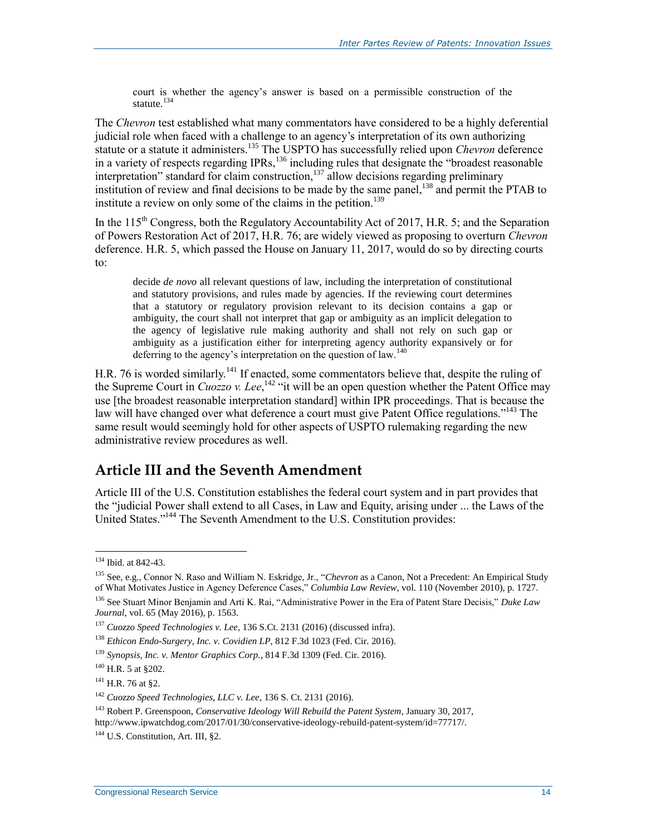court is whether the agency's answer is based on a permissible construction of the statute.<sup>134</sup>

The *Chevron* test established what many commentators have considered to be a highly deferential judicial role when faced with a challenge to an agency's interpretation of its own authorizing statute or a statute it administers.<sup>135</sup> The USPTO has successfully relied upon *Chevron* deference in a variety of respects regarding IPRs,<sup>136</sup> including rules that designate the "broadest reasonable interpretation" standard for claim construction, $137$  allow decisions regarding preliminary institution of review and final decisions to be made by the same panel,<sup>138</sup> and permit the PTAB to institute a review on only some of the claims in the petition.<sup>139</sup>

In the  $115<sup>th</sup>$  Congress, both the Regulatory Accountability Act of 2017, [H.R. 5;](http://www.congress.gov/cgi-lis/bdquery/z?d115:H.R.5:) and the Separation of Powers Restoration Act of 2017, H.R. 76; are widely viewed as proposing to overturn *Chevron*  deference. [H.R. 5,](http://www.congress.gov/cgi-lis/bdquery/z?d115:H.R.5:) which passed the House on January 11, 2017, would do so by directing courts to:

decide *de novo* all relevant questions of law, including the interpretation of constitutional and statutory provisions, and rules made by agencies. If the reviewing court determines that a statutory or regulatory provision relevant to its decision contains a gap or ambiguity, the court shall not interpret that gap or ambiguity as an implicit delegation to the agency of legislative rule making authority and shall not rely on such gap or ambiguity as a justification either for interpreting agency authority expansively or for deferring to the agency's interpretation on the question of law.<sup>140</sup>

H.R. 76 is worded similarly.<sup>141</sup> If enacted, some commentators believe that, despite the ruling of the Supreme Court in *Cuozzo v. Lee*,<sup>142</sup> "it will be an open question whether the Patent Office may use [the broadest reasonable interpretation standard] within IPR proceedings. That is because the law will have changed over what deference a court must give Patent Office regulations."<sup>143</sup> The same result would seemingly hold for other aspects of USPTO rulemaking regarding the new administrative review procedures as well.

#### **Article III and the Seventh Amendment**

Article III of the U.S. Constitution establishes the federal court system and in part provides that the "judicial Power shall extend to all Cases, in Law and Equity, arising under ... the Laws of the United States."<sup>144</sup> The Seventh Amendment to the U.S. Constitution provides:

<sup>134</sup> Ibid. at 842-43.

<sup>135</sup> See, e.g., Connor N. Raso and William N. Eskridge, Jr., "*Chevron* as a Canon, Not a Precedent: An Empirical Study of What Motivates Justice in Agency Deference Cases," *Columbia Law Review*, vol. 110 (November 2010), p. 1727.

<sup>136</sup> See Stuart Minor Benjamin and Arti K. Rai, "Administrative Power in the Era of Patent Stare Decisis," *Duke Law Journal*, vol. 65 (May 2016), p. 1563.

<sup>137</sup> *Cuozzo Speed Technologies v. Lee*, 136 S.Ct. 2131 (2016) (discussed infra).

<sup>138</sup> *Ethicon Endo-Surgery, Inc. v. Covidien LP*, 812 F.3d 1023 (Fed. Cir. 2016).

<sup>139</sup> *Synopsis, Inc. v. Mentor Graphics Corp.*, 814 F.3d 1309 (Fed. Cir. 2016).

 $140$  H.R. 5 at  $8202$ .

 $141$  H.R. 76 at \$2.

<sup>142</sup> *Cuozzo Speed Technologies, LLC v. Lee*, 136 S. Ct. 2131 (2016).

<sup>143</sup> Robert P. Greenspoon, *Conservative Ideology Will Rebuild the Patent System*, January 30, 2017, http://www.ipwatchdog.com/2017/01/30/conservative-ideology-rebuild-patent-system/id=77717/.

<sup>&</sup>lt;sup>144</sup> U.S. Constitution, Art. III, §2.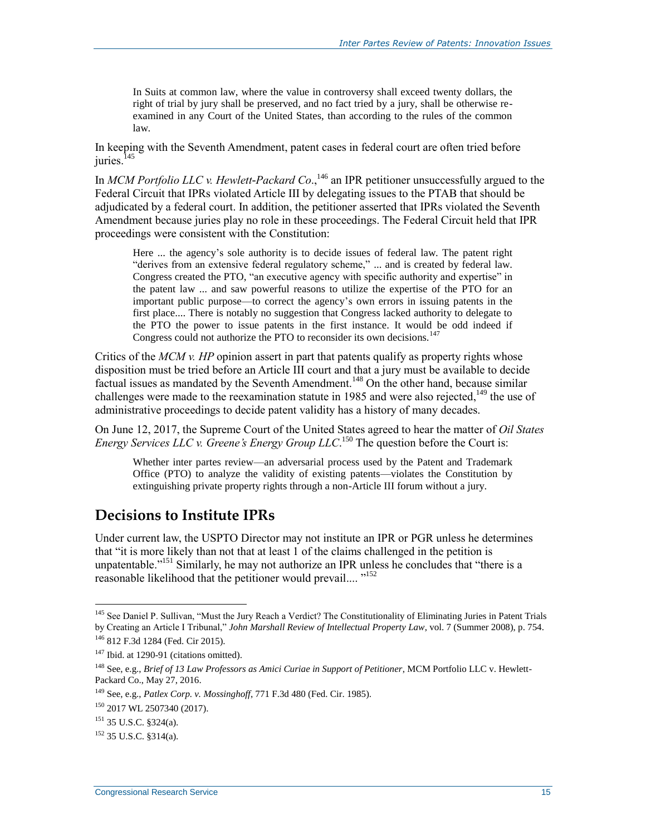In Suits at common law, where the value in controversy shall exceed twenty dollars, the right of trial by jury shall be preserved, and no fact tried by a jury, shall be otherwise reexamined in any Court of the United States, than according to the rules of the common law.

In keeping with the Seventh Amendment, patent cases in federal court are often tried before juries.<sup>145</sup>

In *MCM Portfolio LLC v. Hewlett-Packard Co*., <sup>146</sup> an IPR petitioner unsuccessfully argued to the Federal Circuit that IPRs violated Article III by delegating issues to the PTAB that should be adjudicated by a federal court. In addition, the petitioner asserted that IPRs violated the Seventh Amendment because juries play no role in these proceedings. The Federal Circuit held that IPR proceedings were consistent with the Constitution:

Here ... the agency's sole authority is to decide issues of federal law. The patent right "derives from an extensive federal regulatory scheme," ... and is created by federal law. Congress created the PTO, "an executive agency with specific authority and expertise" in the patent law ... and saw powerful reasons to utilize the expertise of the PTO for an important public purpose—to correct the agency's own errors in issuing patents in the first place.... There is notably no suggestion that Congress lacked authority to delegate to the PTO the power to issue patents in the first instance. It would be odd indeed if Congress could not authorize the PTO to reconsider its own decisions.<sup>147</sup>

Critics of the *MCM v. HP* opinion assert in part that patents qualify as property rights whose disposition must be tried before an Article III court and that a jury must be available to decide factual issues as mandated by the Seventh Amendment.<sup>148</sup> On the other hand, because similar challenges were made to the reexamination statute in 1985 and were also rejected,<sup>149</sup> the use of administrative proceedings to decide patent validity has a history of many decades.

On June 12, 2017, the Supreme Court of the United States agreed to hear the matter of *Oil States Energy Services LLC v. Greene's Energy Group LLC*. <sup>150</sup> The question before the Court is:

Whether inter partes review—an adversarial process used by the Patent and Trademark Office (PTO) to analyze the validity of existing patents—violates the Constitution by extinguishing private property rights through a non-Article III forum without a jury.

#### **Decisions to Institute IPRs**

Under current law, the USPTO Director may not institute an IPR or PGR unless he determines that "it is more likely than not that at least 1 of the claims challenged in the petition is unpatentable."<sup>151</sup> Similarly, he may not authorize an IPR unless he concludes that "there is a reasonable likelihood that the petitioner would prevail....<sup>"152</sup>

<sup>&</sup>lt;sup>145</sup> See Daniel P. Sullivan, "Must the Jury Reach a Verdict? The Constitutionality of Eliminating Juries in Patent Trials by Creating an Article I Tribunal," *John Marshall Review of Intellectual Property Law*, vol. 7 (Summer 2008), p. 754.

<sup>146</sup> 812 F.3d 1284 (Fed. Cir 2015).

 $147$  Ibid. at 1290-91 (citations omitted).

<sup>148</sup> See, e.g., *Brief of 13 Law Professors as Amici Curiae in Support of Petitioner*, MCM Portfolio LLC v. Hewlett-Packard Co., May 27, 2016.

<sup>149</sup> See, e.g., *Patlex Corp. v. Mossinghoff*, 771 F.3d 480 (Fed. Cir. 1985).

<sup>150</sup> 2017 WL 2507340 (2017).

<sup>151</sup> 35 U.S.C. §324(a).

 $152$  35 U.S.C.  $8314(a)$ .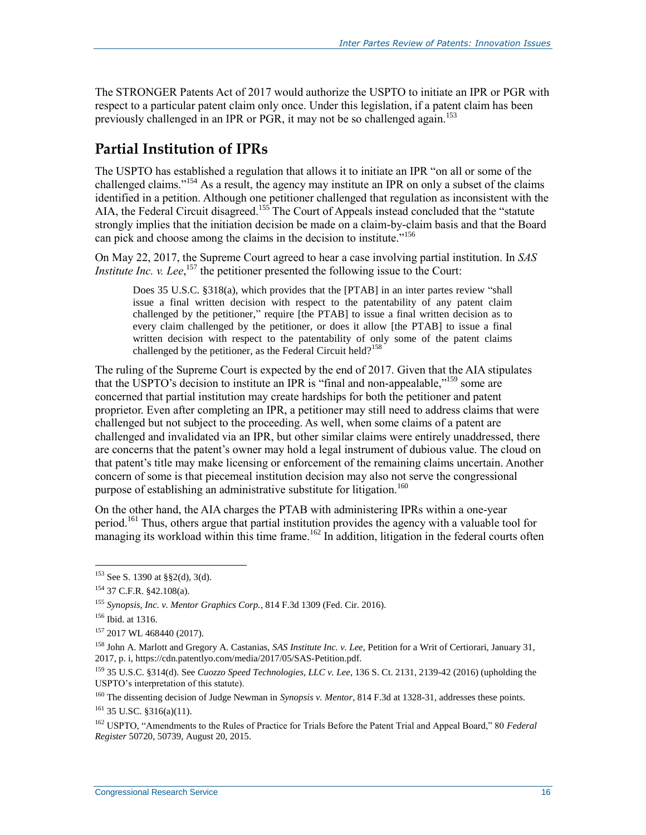The STRONGER Patents Act of 2017 would authorize the USPTO to initiate an IPR or PGR with respect to a particular patent claim only once. Under this legislation, if a patent claim has been previously challenged in an IPR or PGR, it may not be so challenged again.<sup>153</sup>

#### **Partial Institution of IPRs**

The USPTO has established a regulation that allows it to initiate an IPR "on all or some of the challenged claims."<sup>154</sup> As a result, the agency may institute an IPR on only a subset of the claims identified in a petition. Although one petitioner challenged that regulation as inconsistent with the AIA, the Federal Circuit disagreed.<sup>155</sup> The Court of Appeals instead concluded that the "statute strongly implies that the initiation decision be made on a claim-by-claim basis and that the Board can pick and choose among the claims in the decision to institute.<sup>5156</sup>

On May 22, 2017, the Supreme Court agreed to hear a case involving partial institution. In *SAS Institute Inc. v. Lee*,<sup>157</sup> the petitioner presented the following issue to the Court:

Does 35 U.S.C. §318(a), which provides that the [PTAB] in an inter partes review "shall issue a final written decision with respect to the patentability of any patent claim challenged by the petitioner," require [the PTAB] to issue a final written decision as to every claim challenged by the petitioner, or does it allow [the PTAB] to issue a final written decision with respect to the patentability of only some of the patent claims challenged by the petitioner, as the Federal Circuit held?<sup>158</sup>

The ruling of the Supreme Court is expected by the end of 2017. Given that the AIA stipulates that the USPTO's decision to institute an IPR is "final and non-appealable,"<sup>159</sup> some are concerned that partial institution may create hardships for both the petitioner and patent proprietor. Even after completing an IPR, a petitioner may still need to address claims that were challenged but not subject to the proceeding. As well, when some claims of a patent are challenged and invalidated via an IPR, but other similar claims were entirely unaddressed, there are concerns that the patent's owner may hold a legal instrument of dubious value. The cloud on that patent's title may make licensing or enforcement of the remaining claims uncertain. Another concern of some is that piecemeal institution decision may also not serve the congressional purpose of establishing an administrative substitute for litigation.<sup>160</sup>

On the other hand, the AIA charges the PTAB with administering IPRs within a one-year period.<sup>161</sup> Thus, others argue that partial institution provides the agency with a valuable tool for managing its workload within this time frame.<sup>162</sup> In addition, litigation in the federal courts often

 $153$  See S. 1390 at §§2(d), 3(d).

<sup>154</sup> 37 C.F.R. §42.108(a).

<sup>155</sup> *Synopsis, Inc. v. Mentor Graphics Corp.*, 814 F.3d 1309 (Fed. Cir. 2016).

<sup>156</sup> Ibid. at 1316.

<sup>&</sup>lt;sup>157</sup> 2017 WL 468440 (2017).

<sup>158</sup> John A. Marlott and Gregory A. Castanias, *SAS Institute Inc. v. Lee*, Petition for a Writ of Certiorari, January 31, 2017, p. i, https://cdn.patentlyo.com/media/2017/05/SAS-Petition.pdf.

<sup>159</sup> 35 U.S.C. §314(d). See *Cuozzo Speed Technologies, LLC v. Lee*, 136 S. Ct. 2131, 2139-42 (2016) (upholding the USPTO's interpretation of this statute).

<sup>160</sup> The dissenting decision of Judge Newman in *Synopsis v. Mentor*, 814 F.3d at 1328-31, addresses these points.

 $161$  35 U.SC. §316(a)(11).

<sup>162</sup> USPTO, "Amendments to the Rules of Practice for Trials Before the Patent Trial and Appeal Board," 80 *Federal Register* 50720, 50739, August 20, 2015.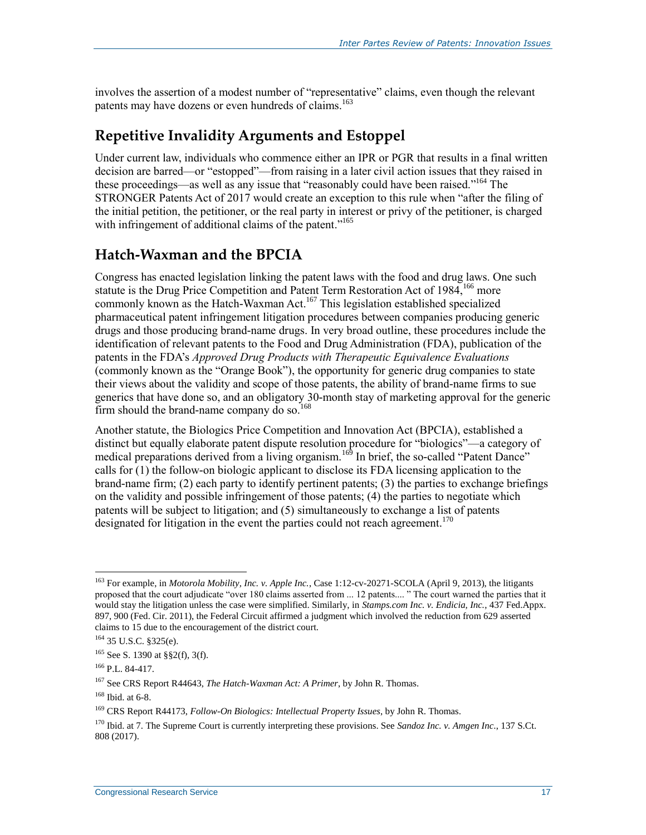involves the assertion of a modest number of "representative" claims, even though the relevant patents may have dozens or even hundreds of claims.<sup>163</sup>

#### **Repetitive Invalidity Arguments and Estoppel**

Under current law, individuals who commence either an IPR or PGR that results in a final written decision are barred—or "estopped"—from raising in a later civil action issues that they raised in these proceedings—as well as any issue that "reasonably could have been raised."<sup>164</sup> The STRONGER Patents Act of 2017 would create an exception to this rule when "after the filing of the initial petition, the petitioner, or the real party in interest or privy of the petitioner, is charged with infringement of additional claims of the patent."<sup>165</sup>

#### **Hatch-Waxman and the BPCIA**

Congress has enacted legislation linking the patent laws with the food and drug laws. One such statute is the Drug Price Competition and Patent Term Restoration Act of  $1984$ ,<sup>166</sup> more commonly known as the Hatch-Waxman Act.<sup>167</sup> This legislation established specialized pharmaceutical patent infringement litigation procedures between companies producing generic drugs and those producing brand-name drugs. In very broad outline, these procedures include the identification of relevant patents to the Food and Drug Administration (FDA), publication of the patents in the FDA's *Approved Drug Products with Therapeutic Equivalence Evaluations* (commonly known as the "Orange Book"), the opportunity for generic drug companies to state their views about the validity and scope of those patents, the ability of brand-name firms to sue generics that have done so, and an obligatory 30-month stay of marketing approval for the generic firm should the brand-name company do so.<sup>168</sup>

Another statute, the Biologics Price Competition and Innovation Act (BPCIA), established a distinct but equally elaborate patent dispute resolution procedure for "biologics"—a category of medical preparations derived from a living organism.<sup>169</sup> In brief, the so-called "Patent Dance" calls for  $(1)$  the follow-on biologic applicant to disclose its FDA licensing application to the brand-name firm; (2) each party to identify pertinent patents; (3) the parties to exchange briefings on the validity and possible infringement of those patents; (4) the parties to negotiate which patents will be subject to litigation; and (5) simultaneously to exchange a list of patents designated for litigation in the event the parties could not reach agreement.<sup>170</sup>

<sup>163</sup> For example, in *Motorola Mobility, Inc. v. Apple Inc.*, Case 1:12-cv-20271-SCOLA (April 9, 2013), the litigants proposed that the court adjudicate "over 180 claims asserted from ... 12 patents.... " The court warned the parties that it would stay the litigation unless the case were simplified. Similarly, in *Stamps.com Inc. v. Endicia, Inc.*, 437 Fed.Appx. 897, 900 (Fed. Cir. 2011), the Federal Circuit affirmed a judgment which involved the reduction from 629 asserted claims to 15 due to the encouragement of the district court.

<sup>164</sup> 35 U.S.C. §325(e).

<sup>165</sup> See S. 1390 at §§2(f), 3(f).

 $166$  P.L. 84-417.

<sup>167</sup> See CRS Report R44643, *The Hatch-Waxman Act: A Primer*, by John R. Thomas.

<sup>168</sup> Ibid. at 6-8.

<sup>169</sup> CRS Report R44173, *Follow-On Biologics: Intellectual Property Issues*, by John R. Thomas.

<sup>170</sup> Ibid. at 7. The Supreme Court is currently interpreting these provisions. See *Sandoz Inc. v. Amgen Inc*., 137 S.Ct. 808 (2017).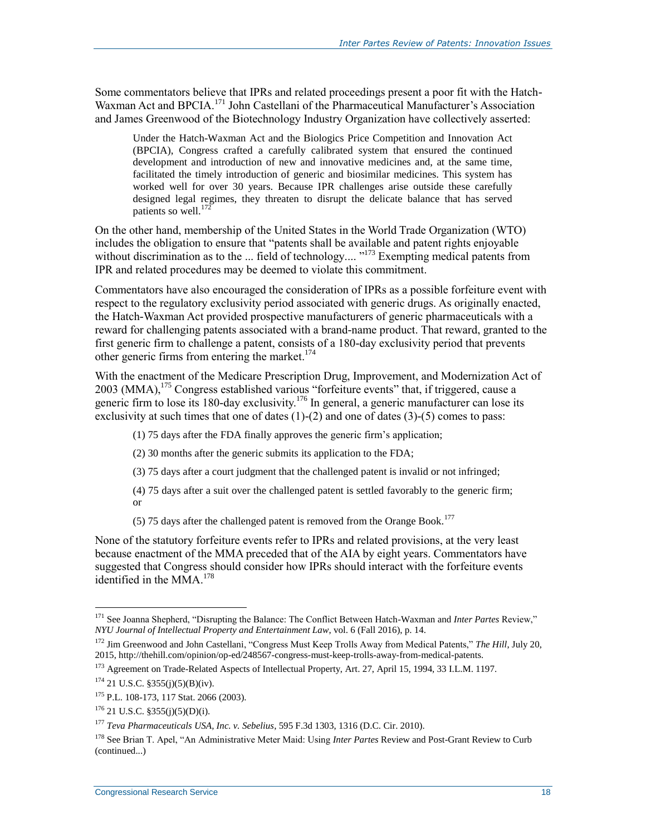Some commentators believe that IPRs and related proceedings present a poor fit with the Hatch-Waxman Act and BPCIA.<sup>171</sup> John Castellani of the Pharmaceutical Manufacturer's Association and James Greenwood of the Biotechnology Industry Organization have collectively asserted:

Under the Hatch-Waxman Act and the Biologics Price Competition and Innovation Act (BPCIA), Congress crafted a carefully calibrated system that ensured the continued development and introduction of new and innovative medicines and, at the same time, facilitated the timely introduction of generic and biosimilar medicines. This system has worked well for over 30 years. Because IPR challenges arise outside these carefully designed legal regimes, they threaten to disrupt the delicate balance that has served patients so well. $^{172}$ 

On the other hand, membership of the United States in the World Trade Organization (WTO) includes the obligation to ensure that "patents shall be available and patent rights enjoyable without discrimination as to the ... field of technology.... "<sup>173</sup> Exempting medical patents from IPR and related procedures may be deemed to violate this commitment.

Commentators have also encouraged the consideration of IPRs as a possible forfeiture event with respect to the regulatory exclusivity period associated with generic drugs. As originally enacted, the Hatch-Waxman Act provided prospective manufacturers of generic pharmaceuticals with a reward for challenging patents associated with a brand-name product. That reward, granted to the first generic firm to challenge a patent, consists of a 180-day exclusivity period that prevents other generic firms from entering the market.<sup>174</sup>

With the enactment of the Medicare Prescription Drug, Improvement, and Modernization Act of  $2003$  (MMA),  $175$  Congress established various "forfeiture events" that, if triggered, cause a generic firm to lose its 180-day exclusivity.<sup>176</sup> In general, a generic manufacturer can lose its exclusivity at such times that one of dates  $(1)-(2)$  and one of dates  $(3)-(5)$  comes to pass:

- (1) 75 days after the FDA finally approves the generic firm's application;
- (2) 30 months after the generic submits its application to the FDA;
- (3) 75 days after a court judgment that the challenged patent is invalid or not infringed;
- (4) 75 days after a suit over the challenged patent is settled favorably to the generic firm; or
- (5) 75 days after the challenged patent is removed from the Orange Book.<sup>177</sup>

None of the statutory forfeiture events refer to IPRs and related provisions, at the very least because enactment of the MMA preceded that of the AIA by eight years. Commentators have suggested that Congress should consider how IPRs should interact with the forfeiture events identified in the MMA. $178$ 

<sup>171</sup> See Joanna Shepherd, "Disrupting the Balance: The Conflict Between Hatch-Waxman and *Inter Partes* Review," *NYU Journal of Intellectual Property and Entertainment Law*, vol. 6 (Fall 2016), p. 14.

<sup>172</sup> Jim Greenwood and John Castellani, "Congress Must Keep Trolls Away from Medical Patents," *The Hill*, July 20, 2015, http://thehill.com/opinion/op-ed/248567-congress-must-keep-trolls-away-from-medical-patents.

<sup>173</sup> Agreement on Trade-Related Aspects of Intellectual Property, Art. 27, April 15, 1994, 33 I.L.M. 1197.

 $174$  21 U.S.C. §355(j)(5)(B)(iv).

<sup>175</sup> P.L. 108-173, 117 Stat. 2066 (2003).

 $176$  21 U.S.C. §355(j)(5)(D)(i).

<sup>177</sup> *Teva Pharmaceuticals USA, Inc. v. Sebelius*, 595 F.3d 1303, 1316 (D.C. Cir. 2010).

<sup>178</sup> See Brian T. Apel, "An Administrative Meter Maid: Using *Inter Partes* Review and Post-Grant Review to Curb (continued...)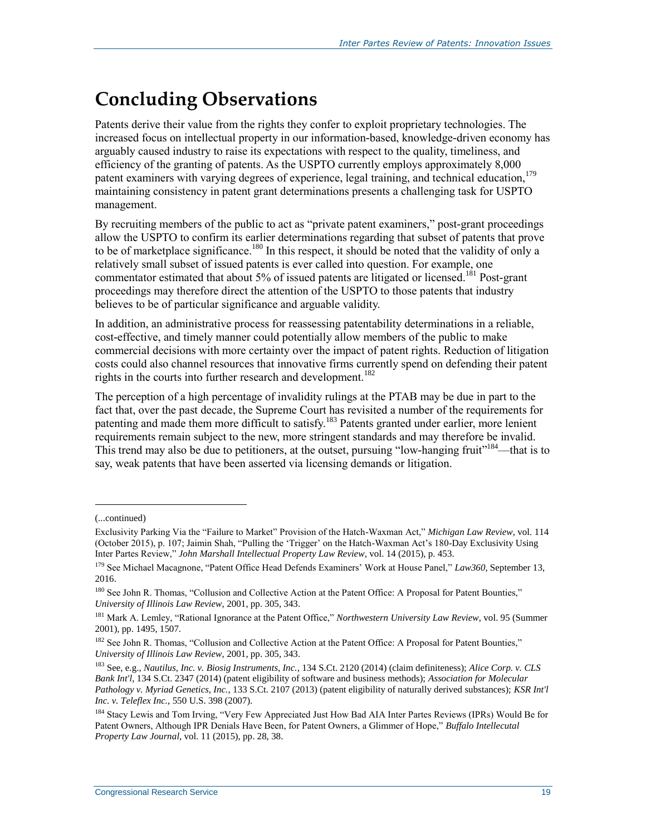# **Concluding Observations**

Patents derive their value from the rights they confer to exploit proprietary technologies. The increased focus on intellectual property in our information-based, knowledge-driven economy has arguably caused industry to raise its expectations with respect to the quality, timeliness, and efficiency of the granting of patents. As the USPTO currently employs approximately 8,000 patent examiners with varying degrees of experience, legal training, and technical education,<sup>179</sup> maintaining consistency in patent grant determinations presents a challenging task for USPTO management.

By recruiting members of the public to act as "private patent examiners," post-grant proceedings allow the USPTO to confirm its earlier determinations regarding that subset of patents that prove to be of marketplace significance.<sup>180</sup> In this respect, it should be noted that the validity of only a relatively small subset of issued patents is ever called into question. For example, one commentator estimated that about 5% of issued patents are litigated or licensed.<sup>181</sup> Post-grant proceedings may therefore direct the attention of the USPTO to those patents that industry believes to be of particular significance and arguable validity.

In addition, an administrative process for reassessing patentability determinations in a reliable, cost-effective, and timely manner could potentially allow members of the public to make commercial decisions with more certainty over the impact of patent rights. Reduction of litigation costs could also channel resources that innovative firms currently spend on defending their patent rights in the courts into further research and development.<sup>182</sup>

The perception of a high percentage of invalidity rulings at the PTAB may be due in part to the fact that, over the past decade, the Supreme Court has revisited a number of the requirements for patenting and made them more difficult to satisfy.<sup>183</sup> Patents granted under earlier, more lenient requirements remain subject to the new, more stringent standards and may therefore be invalid. This trend may also be due to petitioners, at the outset, pursuing "low-hanging fruit"<sup>184</sup>—that is to say, weak patents that have been asserted via licensing demands or litigation.

<sup>(...</sup>continued)

Exclusivity Parking Via the "Failure to Market" Provision of the Hatch-Waxman Act," *Michigan Law Review*, vol. 114 (October 2015), p. 107; Jaimin Shah, "Pulling the 'Trigger' on the Hatch-Waxman Act's 180-Day Exclusivity Using Inter Partes Review," *John Marshall Intellectual Property Law Review*, vol. 14 (2015), p. 453.

<sup>179</sup> See Michael Macagnone, "Patent Office Head Defends Examiners' Work at House Panel," *Law360*, September 13, 2016.

<sup>&</sup>lt;sup>180</sup> See John R. Thomas, "Collusion and Collective Action at the Patent Office: A Proposal for Patent Bounties," *University of Illinois Law Review*, 2001, pp. 305, 343.

<sup>181</sup> Mark A. Lemley, "Rational Ignorance at the Patent Office," *Northwestern University Law Review*, vol. 95 (Summer 2001), pp. 1495, 1507.

<sup>&</sup>lt;sup>182</sup> See John R. Thomas, "Collusion and Collective Action at the Patent Office: A Proposal for Patent Bounties," *University of Illinois Law Review*, 2001, pp. 305, 343.

<sup>183</sup> See, e.g., *Nautilus, Inc. v. Biosig Instruments, Inc.*, 134 S.Ct. 2120 (2014) (claim definiteness); *Alice Corp. v. CLS Bank Int'l*, 134 S.Ct. 2347 (2014) (patent eligibility of software and business methods); *Association for Molecular Pathology v. Myriad Genetics, Inc.*, 133 S.Ct. 2107 (2013) (patent eligibility of naturally derived substances); *KSR Int'l Inc. v. Teleflex Inc.*, 550 U.S. 398 (2007).

<sup>184</sup> Stacy Lewis and Tom Irving, "Very Few Appreciated Just How Bad AIA Inter Partes Reviews (IPRs) Would Be for Patent Owners, Although IPR Denials Have Been, for Patent Owners, a Glimmer of Hope," *Buffalo Intellecutal Property Law Journal*, vol. 11 (2015), pp. 28, 38.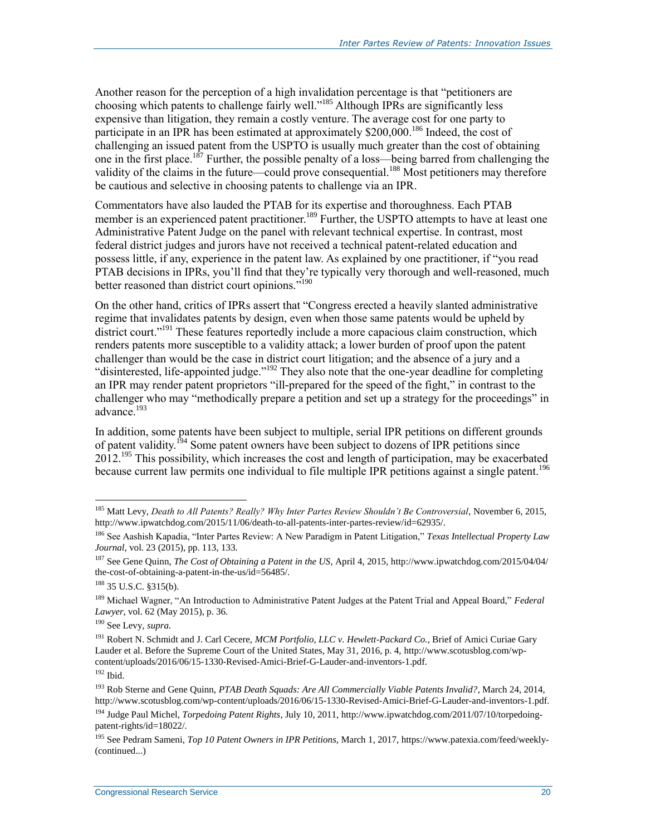Another reason for the perception of a high invalidation percentage is that "petitioners are choosing which patents to challenge fairly well." <sup>185</sup> Although IPRs are significantly less expensive than litigation, they remain a costly venture. The average cost for one party to participate in an IPR has been estimated at approximately \$200,000.<sup>186</sup> Indeed, the cost of challenging an issued patent from the USPTO is usually much greater than the cost of obtaining one in the first place.<sup>187</sup> Further, the possible penalty of a loss—being barred from challenging the validity of the claims in the future—could prove consequential.<sup>188</sup> Most petitioners may therefore be cautious and selective in choosing patents to challenge via an IPR.

Commentators have also lauded the PTAB for its expertise and thoroughness. Each PTAB member is an experienced patent practitioner.<sup>189</sup> Further, the USPTO attempts to have at least one Administrative Patent Judge on the panel with relevant technical expertise. In contrast, most federal district judges and jurors have not received a technical patent-related education and possess little, if any, experience in the patent law. As explained by one practitioner, if "you read PTAB decisions in IPRs, you'll find that they're typically very thorough and well-reasoned, much better reasoned than district court opinions."<sup>190</sup>

On the other hand, critics of IPRs assert that "Congress erected a heavily slanted administrative regime that invalidates patents by design, even when those same patents would be upheld by district court."<sup>191</sup> These features reportedly include a more capacious claim construction, which renders patents more susceptible to a validity attack; a lower burden of proof upon the patent challenger than would be the case in district court litigation; and the absence of a jury and a "disinterested, life-appointed judge."<sup>192</sup> They also note that the one-year deadline for completing an IPR may render patent proprietors "ill-prepared for the speed of the fight," in contrast to the challenger who may "methodically prepare a petition and set up a strategy for the proceedings" in advance. 193

In addition, some patents have been subject to multiple, serial IPR petitions on different grounds of patent validity.<sup>194</sup> Some patent owners have been subject to dozens of IPR petitions since 2012.<sup>195</sup> This possibility, which increases the cost and length of participation, may be exacerbated because current law permits one individual to file multiple IPR petitions against a single patent.<sup>196</sup>

<sup>185</sup> Matt Levy, *Death to All Patents? Really? Why Inter Partes Review Shouldn't Be Controversial*, November 6, 2015, http://www.ipwatchdog.com/2015/11/06/death-to-all-patents-inter-partes-review/id=62935/.

<sup>186</sup> See Aashish Kapadia, "Inter Partes Review: A New Paradigm in Patent Litigation," *Texas Intellectual Property Law Journal*, vol. 23 (2015), pp. 113, 133.

<sup>187</sup> See Gene Quinn, *The Cost of Obtaining a Patent in the US*, April 4, 2015, http://www.ipwatchdog.com/2015/04/04/ the-cost-of-obtaining-a-patent-in-the-us/id=56485/.

<sup>188</sup> 35 U.S.C. §315(b).

<sup>189</sup> Michael Wagner, "An Introduction to Administrative Patent Judges at the Patent Trial and Appeal Board," *Federal Lawyer*, vol. 62 (May 2015), p. 36.

<sup>190</sup> See Levy, *supra.*

<sup>191</sup> Robert N. Schmidt and J. Carl Cecere, *MCM Portfolio, LLC v. Hewlett-Packard Co.*, Brief of Amici Curiae Gary Lauder et al. Before the Supreme Court of the United States, May 31, 2016, p. 4, http://www.scotusblog.com/wpcontent/uploads/2016/06/15-1330-Revised-Amici-Brief-G-Lauder-and-inventors-1.pdf.  $192$  Ibid.

<sup>193</sup> Rob Sterne and Gene Quinn, *PTAB Death Squads: Are All Commercially Viable Patents Invalid?*, March 24, 2014, http://www.scotusblog.com/wp-content/uploads/2016/06/15-1330-Revised-Amici-Brief-G-Lauder-and-inventors-1.pdf.

<sup>194</sup> Judge Paul Michel, *Torpedoing Patent Rights*, July 10, 2011, http://www.ipwatchdog.com/2011/07/10/torpedoingpatent-rights/id=18022/.

<sup>195</sup> See Pedram Sameni, *Top 10 Patent Owners in IPR Petitions*, March 1, 2017, https://www.patexia.com/feed/weekly- (continued...)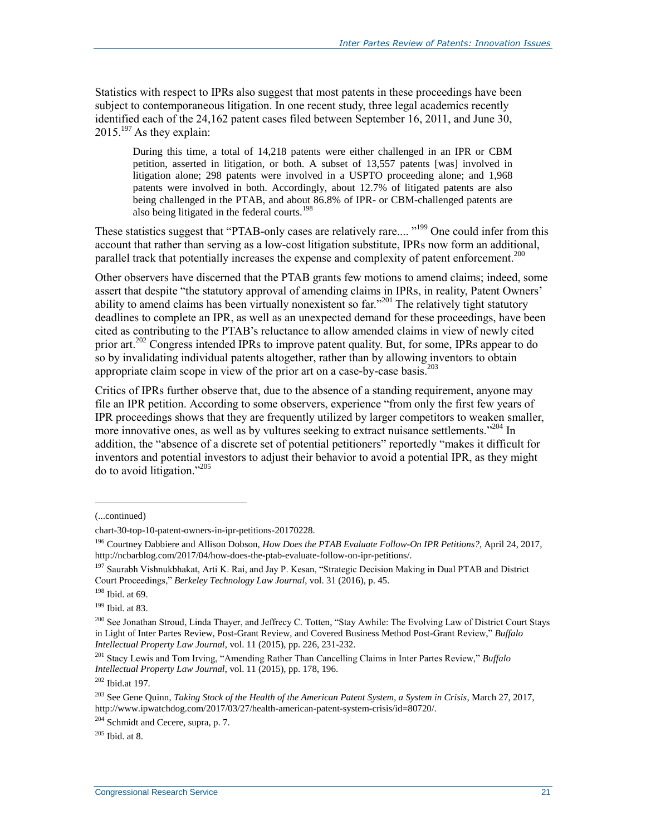Statistics with respect to IPRs also suggest that most patents in these proceedings have been subject to contemporaneous litigation. In one recent study, three legal academics recently identified each of the 24,162 patent cases filed between September 16, 2011, and June 30,  $2015.<sup>197</sup>$  As they explain:

During this time, a total of 14,218 patents were either challenged in an IPR or CBM petition, asserted in litigation, or both. A subset of 13,557 patents [was] involved in litigation alone; 298 patents were involved in a USPTO proceeding alone; and 1,968 patents were involved in both. Accordingly, about 12.7% of litigated patents are also being challenged in the PTAB, and about 86.8% of IPR- or CBM-challenged patents are also being litigated in the federal courts.<sup>198</sup>

These statistics suggest that "PTAB-only cases are relatively rare.... "<sup>199</sup> One could infer from this account that rather than serving as a low-cost litigation substitute, IPRs now form an additional, parallel track that potentially increases the expense and complexity of patent enforcement.<sup>200</sup>

Other observers have discerned that the PTAB grants few motions to amend claims; indeed, some assert that despite "the statutory approval of amending claims in IPRs, in reality, Patent Owners' ability to amend claims has been virtually nonexistent so far.<sup> $201$ </sup> The relatively tight statutory deadlines to complete an IPR, as well as an unexpected demand for these proceedings, have been cited as contributing to the PTAB's reluctance to allow amended claims in view of newly cited prior art.<sup>202</sup> Congress intended IPRs to improve patent quality. But, for some, IPRs appear to do so by invalidating individual patents altogether, rather than by allowing inventors to obtain appropriate claim scope in view of the prior art on a case-by-case basis. 203

Critics of IPRs further observe that, due to the absence of a standing requirement, anyone may file an IPR petition. According to some observers, experience "from only the first few years of IPR proceedings shows that they are frequently utilized by larger competitors to weaken smaller, more innovative ones, as well as by vultures seeking to extract nuisance settlements."<sup>204</sup> In addition, the "absence of a discrete set of potential petitioners" reportedly "makes it difficult for inventors and potential investors to adjust their behavior to avoid a potential IPR, as they might do to avoid litigation."<sup>205</sup>

l

<sup>202</sup> Ibid.at 197.

 $205$  Ibid. at 8.

<sup>(...</sup>continued)

chart-30-top-10-patent-owners-in-ipr-petitions-20170228.

<sup>196</sup> Courtney Dabbiere and Allison Dobson, *How Does the PTAB Evaluate Follow-On IPR Petitions?*, April 24, 2017, http://ncbarblog.com/2017/04/how-does-the-ptab-evaluate-follow-on-ipr-petitions/.

<sup>&</sup>lt;sup>197</sup> Saurabh Vishnukbhakat, Arti K. Rai, and Jay P. Kesan, "Strategic Decision Making in Dual PTAB and District Court Proceedings," *Berkeley Technology Law Journal*, vol. 31 (2016), p. 45.

<sup>198</sup> Ibid. at 69.

<sup>199</sup> Ibid. at 83.

<sup>&</sup>lt;sup>200</sup> See Jonathan Stroud, Linda Thayer, and Jeffrecy C. Totten, "Stay Awhile: The Evolving Law of District Court Stays in Light of Inter Partes Review, Post-Grant Review, and Covered Business Method Post-Grant Review," *Buffalo Intellectual Property Law Journal*, vol. 11 (2015), pp. 226, 231-232.

<sup>201</sup> Stacy Lewis and Tom Irving, "Amending Rather Than Cancelling Claims in Inter Partes Review," *Buffalo Intellectual Property Law Journal*, vol. 11 (2015), pp. 178, 196.

<sup>203</sup> See Gene Quinn, *Taking Stock of the Health of the American Patent System, a System in Crisis*, March 27, 2017, http://www.ipwatchdog.com/2017/03/27/health-american-patent-system-crisis/id=80720/.

<sup>&</sup>lt;sup>204</sup> Schmidt and Cecere, supra, p. 7.